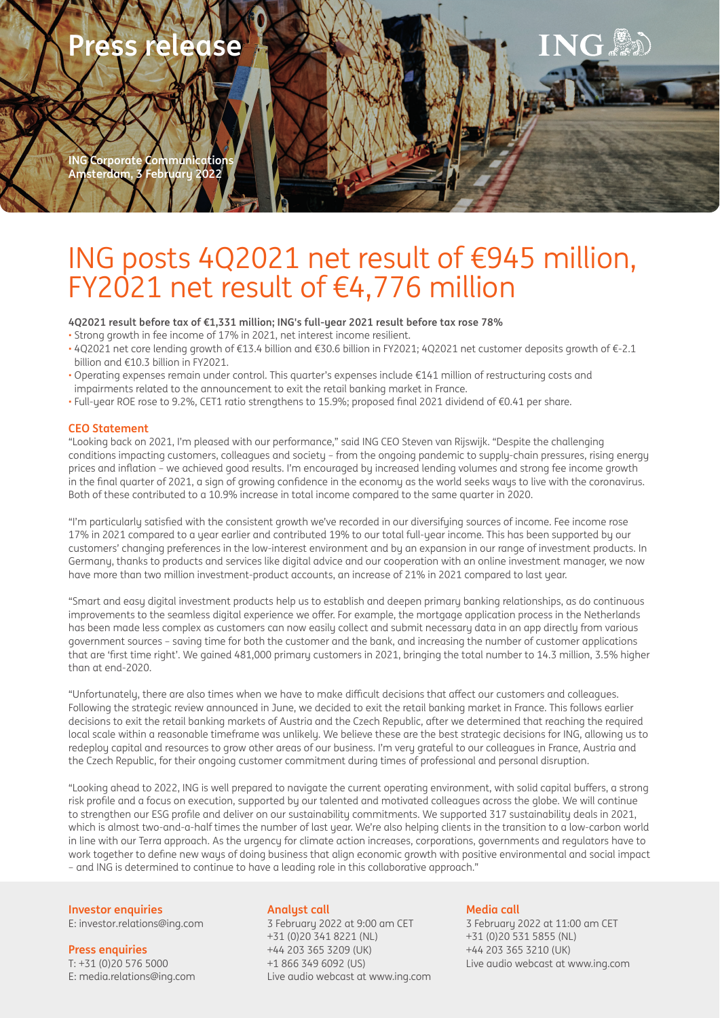

# ING posts 4Q2021 net result of €945 million, FY2021 net result of €4,776 million

**4Q2021 result before tax of €1,331 million; ING's full-year 2021 result before tax rose 78%**

- Strong growth in fee income of 17% in 2021, net interest income resilient.
- 4Q2021 net core lending growth of €13.4 billion and €30.6 billion in FY2021; 4Q2021 net customer deposits growth of €-2.1 billion and €10.3 billion in FY2021.
- Operating expenses remain under control. This quarter's expenses include €141 million of restructuring costs and impairments related to the announcement to exit the retail banking market in France.
- Full-year ROE rose to 9.2%, CET1 ratio strengthens to 15.9%; proposed fi nal 2021 dividend of €0.41 per share.

## **CEO Statement**

"Looking back on 2021, I'm pleased with our performance," said ING CEO Steven van Rijswijk. "Despite the challenging conditions impacting customers, colleagues and society – from the ongoing pandemic to supply-chain pressures, rising energy prices and inflation – we achieved good results. I'm encouraged by increased lending volumes and strong fee income growth in the final quarter of 2021, a sign of growing confidence in the economy as the world seeks ways to live with the coronavirus. Both of these contributed to a 10.9% increase in total income compared to the same quarter in 2020.

"I'm particularly satisfied with the consistent growth we've recorded in our diversifying sources of income. Fee income rose 17% in 2021 compared to a year earlier and contributed 19% to our total full-year income. This has been supported by our customers' changing preferences in the low-interest environment and by an expansion in our range of investment products. In Germany, thanks to products and services like digital advice and our cooperation with an online investment manager, we now have more than two million investment-product accounts, an increase of 21% in 2021 compared to last year.

"Smart and easy digital investment products help us to establish and deepen primary banking relationships, as do continuous improvements to the seamless digital experience we offer. For example, the mortgage application process in the Netherlands has been made less complex as customers can now easily collect and submit necessary data in an app directly from various government sources – saving time for both the customer and the bank, and increasing the number of customer applications that are 'first time right'. We gained 481,000 primary customers in 2021, bringing the total number to 14.3 million, 3.5% higher than at end-2020.

"Unfortunately, there are also times when we have to make difficult decisions that affect our customers and colleagues. Following the strategic review announced in June, we decided to exit the retail banking market in France. This follows earlier decisions to exit the retail banking markets of Austria and the Czech Republic, after we determined that reaching the required local scale within a reasonable timeframe was unlikely. We believe these are the best strategic decisions for ING, allowing us to redeploy capital and resources to grow other areas of our business. I'm very grateful to our colleagues in France, Austria and the Czech Republic, for their ongoing customer commitment during times of professional and personal disruption.

"Looking ahead to 2022, ING is well prepared to navigate the current operating environment, with solid capital buffers, a strong risk profile and a focus on execution, supported by our talented and motivated colleagues across the globe. We will continue to strengthen our ESG profile and deliver on our sustainability commitments. We supported 317 sustainability deals in 2021, which is almost two-and-a-half times the number of last year. We're also helping clients in the transition to a low-carbon world in line with our Terra approach. As the urgency for climate action increases, corporations, governments and regulators have to work together to define new ways of doing business that align economic growth with positive environmental and social impact – and ING is determined to continue to have a leading role in this collaborative approach."

**Investor enquiries** E: investor.relations@ing.com

**Press enquiries**

T: +31 (0)20 576 5000 E: media.relations@ing.com

## **Analyst call**

3 February 2022 at 9:00 am CET +31 (0)20 341 8221 (NL) +44 203 365 3209 (UK) +1 866 349 6092 (US) Live audio webcast at www.ing.com

## **Media call**

3 February 2022 at 11:00 am CET +31 (0)20 531 5855 (NL) +44 203 365 3210 (UK) Live audio webcast at www.ing.com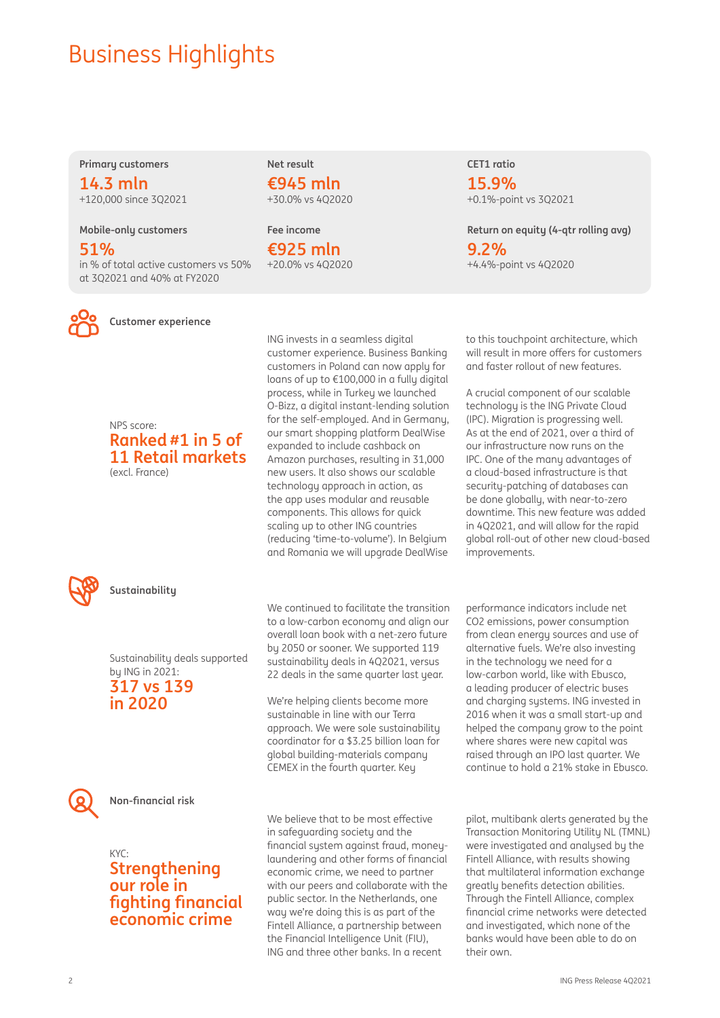## **Business Highlights**

**Primary customers**

**14.3 mln**  +120,000 since 3Q2021

**Mobile-only customers**

**51%**  in % of total active customers vs 50% at 3Q2021 and 40% at FY2020



**Customer experience**

NPS score: **Ranked #1 in 5 of 11 Retail markets** (excl. France)



**Sustainability**

Sustainability deals supported by ING in 2021: **317 vs 139 in 2020**



**Non-fi nancial risk**

## KYC: **Strengthening our role in fi ghting fi nancial economic crime**

We believe that to be most effective in safeguarding society and the financial system against fraud, moneylaundering and other forms of financial economic crime, we need to partner with our peers and collaborate with the public sector. In the Netherlands, one way we're doing this is as part of the Fintell Alliance, a partnership between the Financial Intelligence Unit (FIU), ING and three other banks. In a recent

**CET1 ratio**

**15.9%**  +0.1%-point vs 3Q2021

**Return on equity (4-qtr rolling avg) 9.2%**  +4.4%-point vs 4Q2020

to this touchpoint architecture, which will result in more offers for customers and faster rollout of new features.

A crucial component of our scalable technology is the ING Private Cloud (IPC). Migration is progressing well. As at the end of 2021, over a third of our infrastructure now runs on the IPC. One of the many advantages of a cloud-based infrastructure is that security-patching of databases can be done globally, with near-to-zero downtime. This new feature was added in 4Q2021, and will allow for the rapid global roll-out of other new cloud-based

performance indicators include net CO2 emissions, power consumption from clean energy sources and use of alternative fuels. We're also investing in the technology we need for a low-carbon world, like with Ebusco, a leading producer of electric buses and charging systems. ING invested in 2016 when it was a small start-up and helped the company grow to the point where shares were new capital was raised through an IPO last quarter. We continue to hold a 21% stake in Ebusco.

improvements.

ING invests in a seamless digital customer experience. Business Banking customers in Poland can now apply for loans of up to €100,000 in a fully digital process, while in Turkey we launched O-Bizz, a digital instant-lending solution for the self-employed. And in Germany, our smart shopping platform DealWise expanded to include cashback on Amazon purchases, resulting in 31,000 new users. It also shows our scalable technology approach in action, as the app uses modular and reusable components. This allows for quick scaling up to other ING countries (reducing 'time-to-volume'). In Belgium and Romania we will upgrade DealWise

**Net result €945 mln**  +30.0% vs 4Q2020

**Fee income €925 mln**  +20.0% vs 4Q2020

We continued to facilitate the transition to a low-carbon economy and align our overall loan book with a net-zero future by 2050 or sooner. We supported 119 sustainability deals in 4Q2021, versus 22 deals in the same quarter last year.

We're helping clients become more sustainable in line with our Terra approach. We were sole sustainability coordinator for a \$3.25 billion loan for global building-materials company CEMEX in the fourth quarter. Key

> pilot, multibank alerts generated by the Transaction Monitoring Utility NL (TMNL) were investigated and analysed by the Fintell Alliance, with results showing that multilateral information exchange greatly benefits detection abilities. Through the Fintell Alliance, complex financial crime networks were detected and investigated, which none of the banks would have been able to do on their own.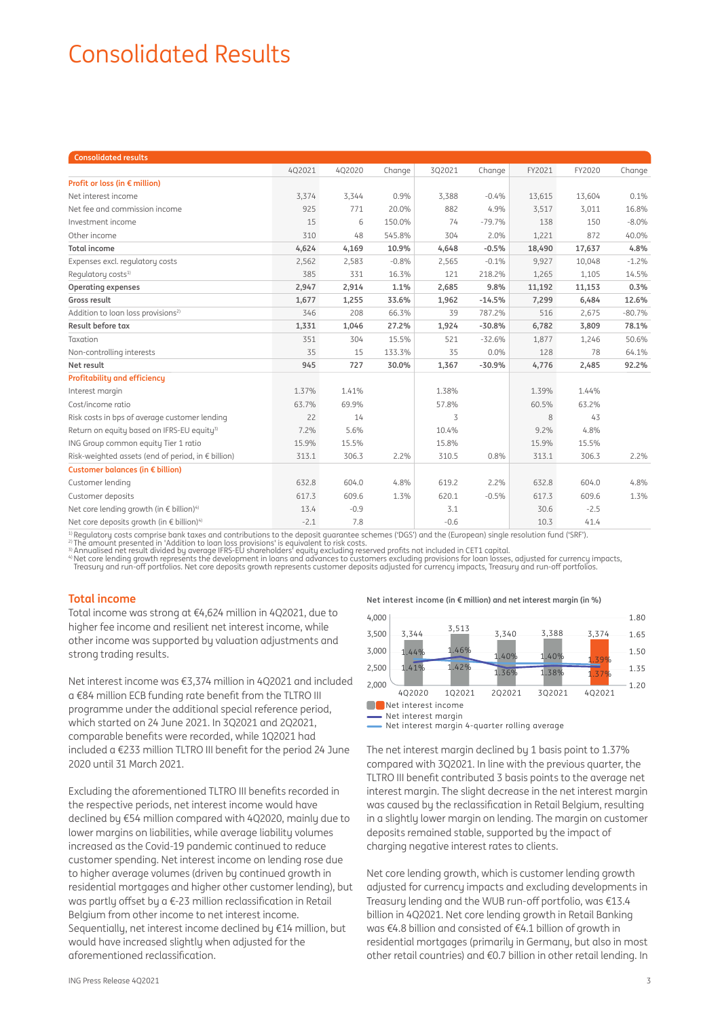## Consolidated Results

| <b>Consolidated results</b>                               |        |        |         |        |          |        |        |          |
|-----------------------------------------------------------|--------|--------|---------|--------|----------|--------|--------|----------|
|                                                           | 402021 | 4Q2020 | Change  | 3Q2021 | Change   | FY2021 | FY2020 | Change   |
| Profit or loss (in € million)                             |        |        |         |        |          |        |        |          |
| Net interest income                                       | 3,374  | 3,344  | 0.9%    | 3,388  | $-0.4%$  | 13,615 | 13,604 | 0.1%     |
| Net fee and commission income                             | 925    | 771    | 20.0%   | 882    | 4.9%     | 3,517  | 3,011  | 16.8%    |
| Investment income                                         | 15     | 6      | 150.0%  | 74     | $-79.7%$ | 138    | 150    | $-8.0\%$ |
| Other income                                              | 310    | 48     | 545.8%  | 304    | 2.0%     | 1,221  | 872    | 40.0%    |
| <b>Total income</b>                                       | 4,624  | 4,169  | 10.9%   | 4,648  | $-0.5%$  | 18,490 | 17,637 | 4.8%     |
| Expenses excl. regulatory costs                           | 2,562  | 2,583  | $-0.8%$ | 2,565  | $-0.1%$  | 9,927  | 10,048 | $-1.2%$  |
| Requlatory costs <sup>1)</sup>                            | 385    | 331    | 16.3%   | 121    | 218.2%   | 1,265  | 1,105  | 14.5%    |
| <b>Operating expenses</b>                                 | 2,947  | 2,914  | 1.1%    | 2,685  | 9.8%     | 11,192 | 11,153 | 0.3%     |
| Gross result                                              | 1,677  | 1,255  | 33.6%   | 1,962  | $-14.5%$ | 7,299  | 6,484  | 12.6%    |
| Addition to loan loss provisions <sup>2)</sup>            | 346    | 208    | 66.3%   | 39     | 787.2%   | 516    | 2,675  | $-80.7%$ |
| Result before tax                                         | 1,331  | 1,046  | 27.2%   | 1,924  | $-30.8%$ | 6,782  | 3,809  | 78.1%    |
| Taxation                                                  | 351    | 304    | 15.5%   | 521    | $-32.6%$ | 1,877  | 1,246  | 50.6%    |
| Non-controlling interests                                 | 35     | 15     | 133.3%  | 35     | 0.0%     | 128    | 78     | 64.1%    |
| Net result                                                | 945    | 727    | 30.0%   | 1,367  | $-30.9%$ | 4,776  | 2,485  | 92.2%    |
| <b>Profitability and efficiency</b>                       |        |        |         |        |          |        |        |          |
| Interest margin                                           | 1.37%  | 1.41%  |         | 1.38%  |          | 1.39%  | 1.44%  |          |
| Cost/income ratio                                         | 63.7%  | 69.9%  |         | 57.8%  |          | 60.5%  | 63.2%  |          |
| Risk costs in bps of average customer lending             | 22     | 14     |         | 3      |          | 8      | 43     |          |
| Return on equity based on IFRS-EU equity <sup>3)</sup>    | 7.2%   | 5.6%   |         | 10.4%  |          | 9.2%   | 4.8%   |          |
| ING Group common equity Tier 1 ratio                      | 15.9%  | 15.5%  |         | 15.8%  |          | 15.9%  | 15.5%  |          |
| Risk-weighted assets (end of period, in € billion)        | 313.1  | 306.3  | $2.2\%$ | 310.5  | 0.8%     | 313.1  | 306.3  | $2.2\%$  |
| Customer balances (in € billion)                          |        |        |         |        |          |        |        |          |
| Customer lending                                          | 632.8  | 604.0  | 4.8%    | 619.2  | 2.2%     | 632.8  | 604.0  | 4.8%     |
| Customer deposits                                         | 617.3  | 609.6  | 1.3%    | 620.1  | $-0.5%$  | 617.3  | 609.6  | 1.3%     |
| Net core lending growth (in € billion) <sup>4)</sup>      | 13.4   | $-0.9$ |         | 3.1    |          | 30.6   | $-2.5$ |          |
| Net core deposits growth (in $\in$ billion) <sup>4)</sup> | $-2.1$ | 7.8    |         | $-0.6$ |          | 10.3   | 41.4   |          |
|                                                           |        |        |         |        |          |        |        |          |

<sup>1)</sup> Regulatory costs comprise bank taxes and contributions to the deposit guarantee schemes ('DGS') and the (European) single resolution fund ('SRF').<br><sup>2)</sup> The amount presented in 'Addition to loan loss provisions' is equ

<sup>3)</sup> Annualised net result divided by average IFRS-EU shareholders' equity excluding reserved profits not included in CET1 capital.<br><sup>4</sup> Net core lending growth represents the development in loans and advances to customers

## **Total income**

Total income was strong at €4,624 million in 4Q2021, due to higher fee income and resilient net interest income, while other income was supported by valuation adjustments and strong trading results.

Net interest income was €3,374 million in 4Q2021 and included a €84 million ECB funding rate benefit from the TLTRO III programme under the additional special reference period, which started on 24 June 2021. In 3Q2021 and 2Q2021, comparable benefits were recorded, while 102021 had included a  $E$ 233 million TLTRO III benefit for the period 24 June 2020 until 31 March 2021.

Excluding the aforementioned TLTRO III benefits recorded in the respective periods, net interest income would have declined by €54 million compared with 4Q2020, mainly due to lower margins on liabilities, while average liability volumes increased as the Covid-19 pandemic continued to reduce customer spending. Net interest income on lending rose due to higher average volumes (driven by continued growth in residential mortgages and higher other customer lending), but was partly offset by a  $\epsilon$ -23 million reclassification in Retail Belgium from other income to net interest income. Sequentially, net interest income declined by €14 million, but would have increased slightly when adjusted for the aforementioned reclassification.

**Net interest income (in € million) and net interest margin (in %)**

| 4,000 |                     |        |        |        |        | 1.80 |
|-------|---------------------|--------|--------|--------|--------|------|
| 3,500 | 3,344               | 3,513  | 3,340  | 3,388  | 3,374  | 1.65 |
| 3,000 | 1.44%               | 1.46%  | 1.40%  | 1.40%  | 1.39%  | 1.50 |
| 2,500 | 1.41%               | 1.42%  | 1.36%  | 1.38%  | 1.37%  | 1.35 |
| 2,000 |                     |        |        |        |        | 1.20 |
|       | 402020              | 102021 | 202021 | 302021 | 402021 |      |
|       | Net interest income |        |        |        |        |      |

- Net interest margin

Net interest margin 4-quarter rolling average

The net interest margin declined by 1 basis point to 1.37% compared with 3Q2021. In line with the previous quarter, the TLTRO III benefit contributed 3 basis points to the average net interest margin. The slight decrease in the net interest margin was caused by the reclassification in Retail Belgium, resulting in a slightly lower margin on lending. The margin on customer deposits remained stable, supported by the impact of charging negative interest rates to clients.

Net core lending growth, which is customer lending growth adjusted for currency impacts and excluding developments in Treasury lending and the WUB run-off portfolio, was €13.4 billion in 4Q2021. Net core lending growth in Retail Banking was €4.8 billion and consisted of €4.1 billion of growth in residential mortgages (primarily in Germany, but also in most other retail countries) and €0.7 billion in other retail lending. In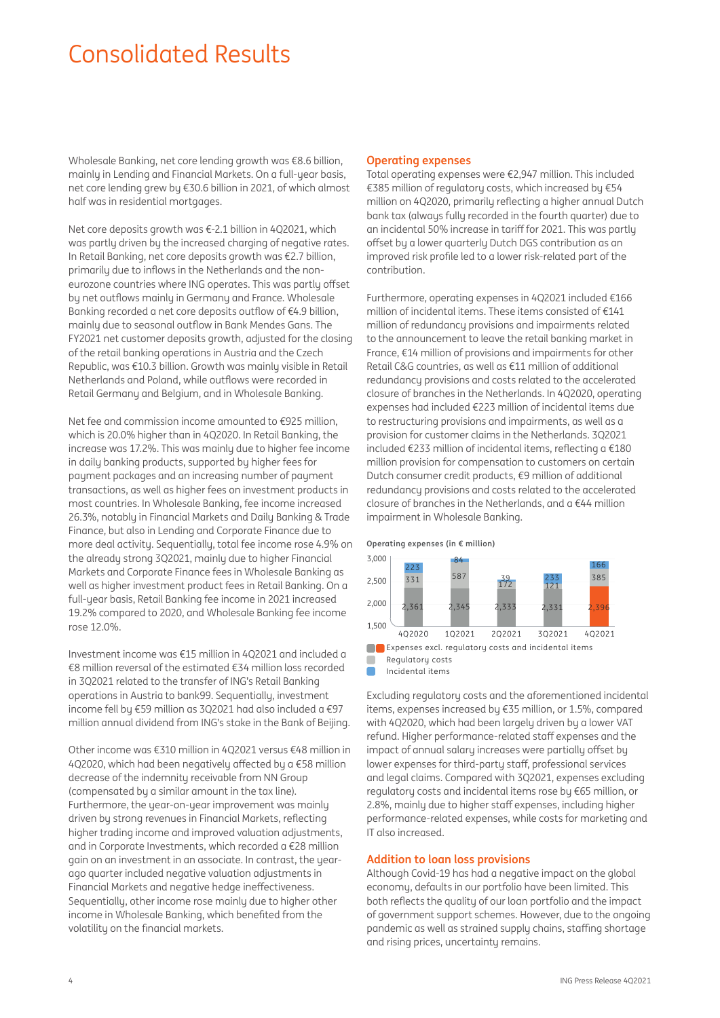## Consolidated Results

Wholesale Banking, net core lending growth was €8.6 billion, mainly in Lending and Financial Markets. On a full-year basis, net core lending grew by €30.6 billion in 2021, of which almost half was in residential mortgages.

Net core deposits growth was €-2.1 billion in 4Q2021, which was partly driven by the increased charging of negative rates. In Retail Banking, net core deposits growth was €2.7 billion, primarily due to inflows in the Netherlands and the noneurozone countries where ING operates. This was partly offset by net outflows mainly in Germany and France. Wholesale Banking recorded a net core deposits outflow of  $€4.9$  billion, mainly due to seasonal outflow in Bank Mendes Gans. The FY2021 net customer deposits growth, adjusted for the closing of the retail banking operations in Austria and the Czech Republic, was €10.3 billion. Growth was mainly visible in Retail Netherlands and Poland, while outflows were recorded in Retail Germany and Belgium, and in Wholesale Banking.

Net fee and commission income amounted to €925 million, which is 20.0% higher than in 4Q2020. In Retail Banking, the increase was 17.2%. This was mainly due to higher fee income in daily banking products, supported by higher fees for payment packages and an increasing number of payment transactions, as well as higher fees on investment products in most countries. In Wholesale Banking, fee income increased 26.3%, notably in Financial Markets and Daily Banking & Trade Finance, but also in Lending and Corporate Finance due to more deal activity. Sequentially, total fee income rose 4.9% on the already strong 3Q2021, mainly due to higher Financial Markets and Corporate Finance fees in Wholesale Banking as well as higher investment product fees in Retail Banking. On a full-year basis, Retail Banking fee income in 2021 increased 19.2% compared to 2020, and Wholesale Banking fee income rose 12.0%.

Investment income was €15 million in 4Q2021 and included a €8 million reversal of the estimated €34 million loss recorded in 3Q2021 related to the transfer of ING's Retail Banking operations in Austria to bank99. Sequentially, investment income fell by €59 million as 3Q2021 had also included a €97 million annual dividend from ING's stake in the Bank of Beijing.

Other income was €310 million in 4Q2021 versus €48 million in 4Q2020, which had been negatively affected by a  $\epsilon$ 58 million decrease of the indemnity receivable from NN Group (compensated by a similar amount in the tax line). Furthermore, the year-on-year improvement was mainly driven bu strong revenues in Financial Markets, reflecting higher trading income and improved valuation adjustments, and in Corporate Investments, which recorded a €28 million gain on an investment in an associate. In contrast, the yearago quarter included negative valuation adjustments in Financial Markets and negative hedge ineffectiveness. Sequentially, other income rose mainly due to higher other income in Wholesale Banking, which benefited from the volatility on the financial markets.

## **Operating expenses**

Total operating expenses were €2,947 million. This included €385 million of regulatory costs, which increased by €54 million on 4Q2020, primarily reflecting a higher annual Dutch bank tax (always fully recorded in the fourth quarter) due to an incidental 50% increase in tariff for 2021. This was partly offset by a lower quarterly Dutch DGS contribution as an improved risk profile led to a lower risk-related part of the contribution.

Furthermore, operating expenses in 4Q2021 included €166 million of incidental items. These items consisted of €141 million of redundancy provisions and impairments related to the announcement to leave the retail banking market in France, €14 million of provisions and impairments for other Retail C&G countries, as well as €11 million of additional redundancy provisions and costs related to the accelerated closure of branches in the Netherlands. In 4Q2020, operating expenses had included €223 million of incidental items due to restructuring provisions and impairments, as well as a provision for customer claims in the Netherlands. 3Q2021 included  $\epsilon$ 233 million of incidental items, reflecting a  $\epsilon$ 180 million provision for compensation to customers on certain Dutch consumer credit products, €9 million of additional redundancy provisions and costs related to the accelerated closure of branches in the Netherlands, and a €44 million impairment in Wholesale Banking.

**Operating expenses (in € million)**



 $\blacksquare$ 

Incidental items

Excluding regulatory costs and the aforementioned incidental items, expenses increased by €35 million, or 1.5%, compared with 402020, which had been largely driven by a lower VAT refund. Higher performance-related staff expenses and the impact of annual salary increases were partially offset by lower expenses for third-party staff, professional services and legal claims. Compared with 3Q2021, expenses excluding regulatory costs and incidental items rose by €65 million, or 2.8%, mainly due to higher staff expenses, including higher performance-related expenses, while costs for marketing and IT also increased.

## **Addition to loan loss provisions**

Although Covid-19 has had a negative impact on the global economy, defaults in our portfolio have been limited. This both reflects the quality of our loan portfolio and the impact of government support schemes. However, due to the ongoing pandemic as well as strained supply chains, staffing shortage and rising prices, uncertainty remains.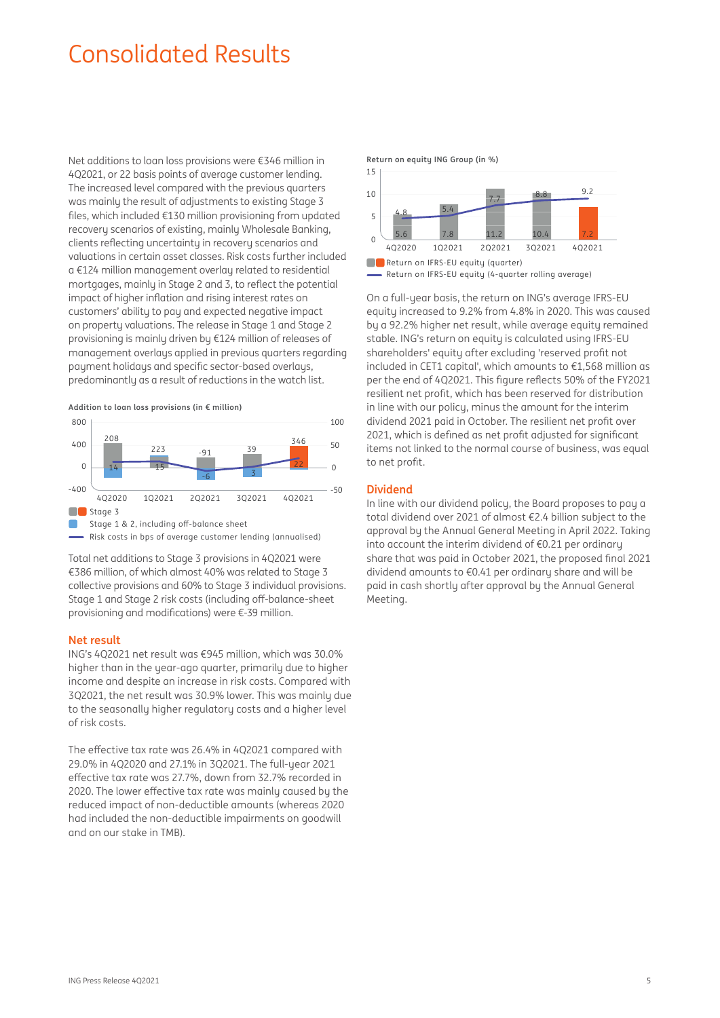## Consolidated Results

Net additions to loan loss provisions were €346 million in 4Q2021, or 22 basis points of average customer lending. The increased level compared with the previous quarters was mainly the result of adjustments to existing Stage 3 files, which included €130 million provisioning from updated recovery scenarios of existing, mainly Wholesale Banking, clients reflecting uncertainty in recovery scenarios and valuations in certain asset classes. Risk costs further included a €124 million management overlay related to residential mortgages, mainly in Stage 2 and 3, to reflect the potential impact of higher inflation and rising interest rates on customers' ability to pay and expected negative impact on property valuations. The release in Stage 1 and Stage 2 provisioning is mainly driven by €124 million of releases of management overlays applied in previous quarters regarding payment holidays and specific sector-based overlays. predominantly as a result of reductions in the watch list.

**Addition to loan loss provisions (in € million)**



 $\overline{\phantom{a}}$  Risk costs in bps of average customer lending (annualised)

Total net additions to Stage 3 provisions in 4Q2021 were €386 million, of which almost 40% was related to Stage 3 collective provisions and 60% to Stage 3 individual provisions. Stage 1 and Stage 2 risk costs (including off -balance-sheet provisioning and modifications) were  $\epsilon$ -39 million.

#### **Net result**

ING's 4Q2021 net result was €945 million, which was 30.0% higher than in the year-ago quarter, primarily due to higher income and despite an increase in risk costs. Compared with 3Q2021, the net result was 30.9% lower. This was mainly due to the seasonally higher regulatory costs and a higher level of risk costs.

The effective tax rate was 26.4% in 402021 compared with 29.0% in 4Q2020 and 27.1% in 3Q2021. The full-year 2021 effective tax rate was 27.7%, down from 32.7% recorded in 2020. The lower effective tax rate was mainly caused by the reduced impact of non-deductible amounts (whereas 2020 had included the non-deductible impairments on goodwill and on our stake in TMB).



On a full-year basis, the return on ING's average IFRS-EU equity increased to 9.2% from 4.8% in 2020. This was caused by a 92.2% higher net result, while average equity remained stable. ING's return on equity is calculated using IFRS-EU shareholders' equity after excluding 'reserved profit not included in CET1 capital', which amounts to €1,568 million as per the end of 402021. This figure reflects 50% of the FY2021 resilient net profit, which has been reserved for distribution in line with our policy, minus the amount for the interim dividend 2021 paid in October. The resilient net profit over 2021, which is defined as net profit adjusted for significant items not linked to the normal course of business, was equal to net profit.

## **Dividend**

In line with our dividend policy, the Board proposes to pay a total dividend over 2021 of almost €2.4 billion subject to the approval by the Annual General Meeting in April 2022. Taking into account the interim dividend of €0.21 per ordinary share that was paid in October 2021, the proposed final 2021 dividend amounts to €0.41 per ordinary share and will be paid in cash shortly after approval by the Annual General Meeting.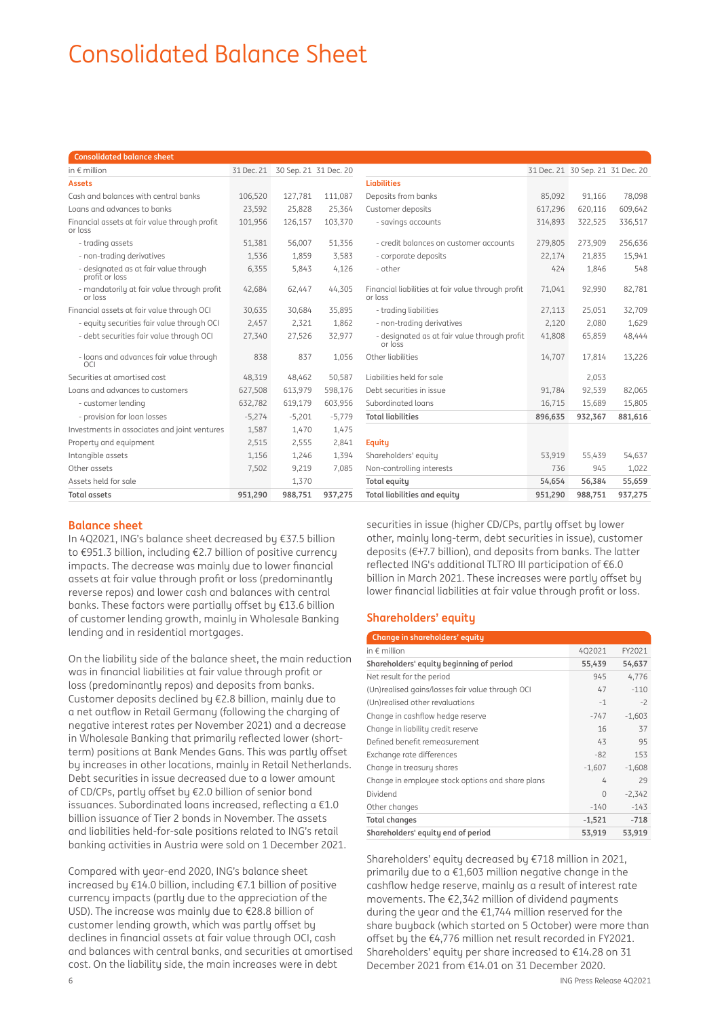# Consolidated Balance Sheet

| <b>Consolidated balance sheet</b>                        |            |                       |          |                                                               |          |                                  |         |
|----------------------------------------------------------|------------|-----------------------|----------|---------------------------------------------------------------|----------|----------------------------------|---------|
| in $\epsilon$ million                                    | 31 Dec. 21 | 30 Sep. 21 31 Dec. 20 |          |                                                               |          | 31 Dec. 21 30 Sep. 21 31 Dec. 20 |         |
| <b>Assets</b>                                            |            |                       |          | <b>Liabilities</b>                                            |          |                                  |         |
| Cash and balances with central banks                     | 106.520    | 127.781               | 111,087  | Deposits from banks                                           | 85,092   | 91,166                           | 78,098  |
| Loans and advances to banks                              | 23,592     | 25,828                | 25,364   | Customer deposits                                             | 617,296  | 620,116                          | 609,642 |
| Financial assets at fair value through profit<br>or loss | 101.956    | 126.157               | 103.370  | - savings accounts                                            | 314,893  | 322,525                          | 336,517 |
| - trading assets                                         | 51,381     | 56,007                | 51,356   | - credit balances on customer accounts                        | 279,805  | 273,909                          | 256,636 |
| - non-trading derivatives                                | 1,536      | 1.859                 | 3,583    | - corporate deposits                                          | 22,174   | 21.835                           | 15,941  |
| - designated as at fair value through<br>profit or loss  | 6,355      | 5,843                 | 4,126    | - other                                                       | 424      | 1,846                            | 548     |
| - mandatorily at fair value through profit<br>or loss    | 42,684     | 62,447                | 44,305   | Financial liabilities at fair value through profit<br>or loss | 71,041   | 92,990                           | 82,781  |
| Financial assets at fair value through OCI               | 30,635     | 30,684                | 35,895   | - trading liabilities                                         | 27,113   | 25,051                           | 32,709  |
| - equity securities fair value through OCI               | 2,457      | 2,321                 | 1,862    | - non-trading derivatives                                     | 2,120    | 2,080                            | 1,629   |
| - debt securities fair value through OCI                 | 27,340     | 27,526                | 32,977   | - designated as at fair value through profit<br>or loss       | 41,808   | 65,859                           | 48,444  |
| - loans and advances fair value through<br>OCI           | 838        | 837                   | 1.056    | Other liabilities                                             | 14,707   | 17.814                           | 13,226  |
| Securities at amortised cost                             | 48,319     | 48,462                | 50,587   | Liabilities held for sale                                     |          | 2,053                            |         |
| Loans and advances to customers                          | 627,508    | 613.979               | 598.176  | Debt securities in issue                                      | 91.784   | 92,539                           | 82,065  |
| - customer lending                                       | 632,782    | 619,179               | 603,956  | Subordinated loans                                            | 16,715   | 15,689                           | 15.805  |
| - provision for loan losses                              | $-5,274$   | $-5,201$              | $-5,779$ | <b>Total liabilities</b>                                      | 896,635  | 932,367                          | 881,616 |
| Investments in associates and joint ventures             | 1,587      | 1,470                 | 1,475    |                                                               |          |                                  |         |
| Property and equipment                                   | 2,515      | 2,555                 | 2,841    | Equity                                                        |          |                                  |         |
| Intangible assets                                        | 1,156      | 1,246                 | 1,394    | Shareholders' equity                                          | 53,919   | 55,439                           | 54,637  |
| Other assets                                             | 7,502      | 9,219                 | 7.085    | Non-controlling interests                                     | 736      | 945                              | 1,022   |
| Assets held for sale                                     |            | 1,370                 |          | Total equity                                                  | 54,654   | 56,384                           | 55,659  |
| Tatal secote                                             | 0E1200     | 000 7E1               | 0.77.275 | Tatal liabilities and assitu                                  | 0.51.200 | 000 7E1                          | 077275  |

## **Balance sheet**

In 4Q2021, ING's balance sheet decreased by €37.5 billion to €951.3 billion, including €2.7 billion of positive currency impacts. The decrease was mainly due to lower financial assets at fair value through profit or loss (predominantly reverse repos) and lower cash and balances with central banks. These factors were partially offset by  $£13.6$  billion of customer lending growth, mainly in Wholesale Banking lending and in residential mortgages.

On the liability side of the balance sheet, the main reduction was in financial liabilities at fair value through profit or loss (predominantly repos) and deposits from banks. Customer deposits declined by €2.8 billion, mainly due to a net outflow in Retail Germany (following the charging of negative interest rates per November 2021) and a decrease in Wholesale Banking that primarily reflected lower (shortterm) positions at Bank Mendes Gans. This was partly offset by increases in other locations, mainly in Retail Netherlands. Debt securities in issue decreased due to a lower amount of CD/CPs, partly offset by €2.0 billion of senior bond issuances. Subordinated loans increased, reflecting a  $€1.0$ billion issuance of Tier 2 bonds in November. The assets and liabilities held-for-sale positions related to ING's retail banking activities in Austria were sold on 1 December 2021.

Compared with year-end 2020, ING's balance sheet increased by €14.0 billion, including €7.1 billion of positive currency impacts (partly due to the appreciation of the USD). The increase was mainly due to €28.8 billion of customer lending growth, which was partly offset by declines in financial assets at fair value through OCI, cash and balances with central banks, and securities at amortised cost. On the liability side, the main increases were in debt

| <b>Consolidated balance sheet</b>                        |          |                                  |          |                                                               |         |                                  |         |
|----------------------------------------------------------|----------|----------------------------------|----------|---------------------------------------------------------------|---------|----------------------------------|---------|
| in $\epsilon$ million                                    |          | 31 Dec. 21 30 Sep. 21 31 Dec. 20 |          |                                                               |         | 31 Dec. 21 30 Sep. 21 31 Dec. 20 |         |
| <b>Assets</b>                                            |          |                                  |          | <b>Liabilities</b>                                            |         |                                  |         |
| Cash and balances with central banks                     | 106.520  | 127.781                          | 111.087  | Deposits from banks                                           | 85.092  | 91.166                           | 78.098  |
| Loans and advances to banks                              | 23,592   | 25,828                           | 25,364   | Customer deposits                                             | 617,296 | 620,116                          | 609,642 |
| Financial assets at fair value through profit<br>or loss | 101,956  | 126.157                          | 103,370  | - savings accounts                                            | 314,893 | 322,525                          | 336,517 |
| - trading assets                                         | 51,381   | 56,007                           | 51,356   | - credit balances on customer accounts                        | 279.805 | 273.909                          | 256,636 |
| - non-trading derivatives                                | 1,536    | 1,859                            | 3,583    | - corporate deposits                                          | 22,174  | 21,835                           | 15,941  |
| - designated as at fair value through<br>profit or loss  | 6,355    | 5,843                            | 4,126    | - other                                                       | 424     | 1,846                            | 548     |
| - mandatorily at fair value through profit<br>or loss    | 42,684   | 62.447                           | 44,305   | Financial liabilities at fair value through profit<br>or loss | 71,041  | 92,990                           | 82,781  |
| Financial assets at fair value through OCI               | 30,635   | 30,684                           | 35,895   | - trading liabilities                                         | 27,113  | 25,051                           | 32,709  |
| - equity securities fair value through OCI               | 2,457    | 2,321                            | 1,862    | - non-trading derivatives                                     | 2,120   | 2,080                            | 1,629   |
| - debt securities fair value through OCI                 | 27,340   | 27,526                           | 32,977   | - designated as at fair value through profit<br>or loss       | 41,808  | 65,859                           | 48,444  |
| - loans and advances fair value through<br>OCI           | 838      | 837                              | 1,056    | Other liabilities                                             | 14,707  | 17.814                           | 13,226  |
| Securities at amortised cost                             | 48,319   | 48,462                           | 50,587   | Liabilities held for sale                                     |         | 2,053                            |         |
| Loans and advances to customers                          | 627,508  | 613,979                          | 598,176  | Debt securities in issue                                      | 91.784  | 92,539                           | 82,065  |
| - customer lending                                       | 632.782  | 619,179                          | 603,956  | Subordinated loans                                            | 16,715  | 15,689                           | 15,805  |
| - provision for loan losses                              | $-5,274$ | $-5,201$                         | $-5,779$ | <b>Total liabilities</b>                                      | 896,635 | 932,367                          | 881,616 |
| Investments in associates and joint ventures             | 1,587    | 1,470                            | 1,475    |                                                               |         |                                  |         |
| Property and equipment                                   | 2,515    | 2,555                            | 2,841    | <b>Equity</b>                                                 |         |                                  |         |
| Intangible assets                                        | 1,156    | 1,246                            | 1,394    | Shareholders' equity                                          | 53,919  | 55.439                           | 54,637  |
| Other assets                                             | 7,502    | 9,219                            | 7,085    | Non-controlling interests                                     | 736     | 945                              | 1,022   |
| Assets held for sale                                     |          | 1,370                            |          | <b>Total equity</b>                                           | 54.654  | 56.384                           | 55,659  |
| <b>Total assets</b>                                      | 951.290  | 988.751                          | 937.275  | <b>Total liabilities and equitu</b>                           | 951.290 | 988.751                          | 937,275 |

securities in issue (higher CD/CPs, partly offset by lower other, mainly long-term, debt securities in issue), customer deposits ( $\epsilon$ +7.7 billion), and deposits from banks. The latter reflected ING's additional TLTRO III participation of  $€6.0$ billion in March 2021. These increases were partly offset by lower financial liabilities at fair value through profit or loss.

## **Shareholders' equity**

| Change in shareholders' equity                   |          |          |
|--------------------------------------------------|----------|----------|
| in $\epsilon$ million                            | 4Q2021   | FY2021   |
| Shareholders' equity beginning of period         | 55,439   | 54,637   |
| Net result for the period                        | 945      | 4,776    |
| (Un)realised gains/losses fair value through OCI | 47       | $-110$   |
| (Un)realised other revaluations                  | $-1$     | $-2$     |
| Change in cashflow hedge reserve                 | $-747$   | $-1,603$ |
| Change in liability credit reserve               | 16       | 37       |
| Defined benefit remeasurement                    | 43       | 95       |
| Exchange rate differences                        | $-82$    | 153      |
| Change in treasury shares                        | $-1,607$ | $-1,608$ |
| Change in employee stock options and share plans | 4        | 29       |
| Dividend                                         | $\Omega$ | $-2,342$ |
| Other changes                                    | $-140$   | $-143$   |
| <b>Total changes</b>                             | $-1,521$ | $-718$   |
| Shareholders' equity end of period               | 53,919   | 53,919   |

Shareholders' equity decreased by €718 million in 2021, primarily due to a €1,603 million negative change in the cashflow hedge reserve, mainly as a result of interest rate movements. The €2,342 million of dividend payments during the year and the €1,744 million reserved for the share buyback (which started on 5 October) were more than offset by the €4,776 million net result recorded in FY2021. Shareholders' equity per share increased to €14.28 on 31 December 2021 from €14.01 on 31 December 2020.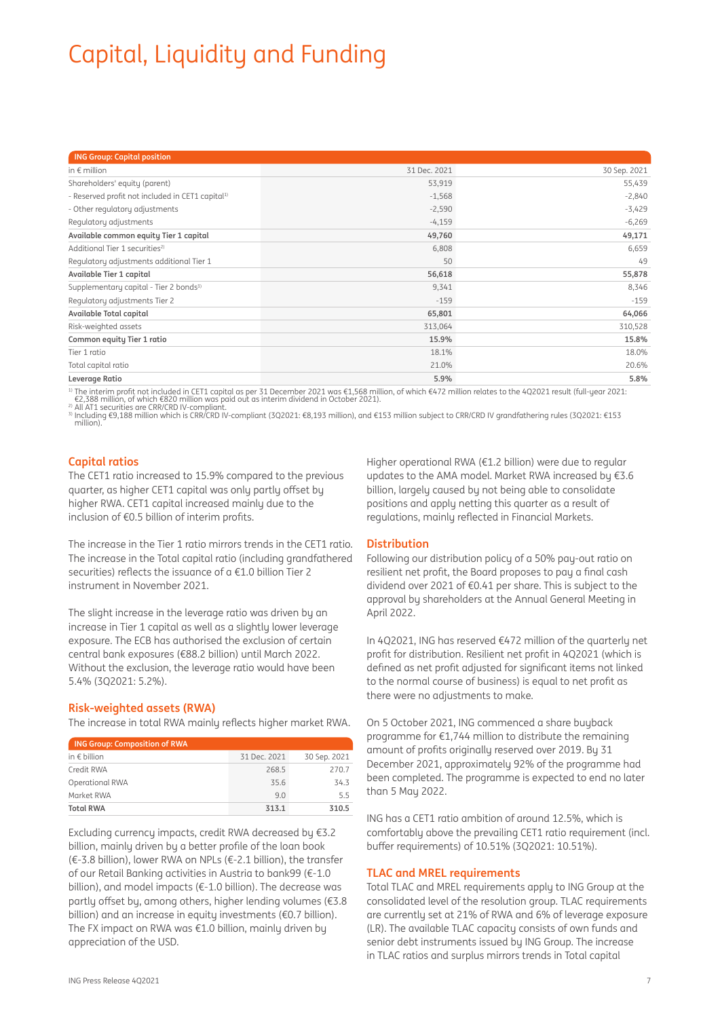# Capital, Liquidity and Funding

| <b>ING Group: Capital position</b>                           |              |              |
|--------------------------------------------------------------|--------------|--------------|
| in $\epsilon$ million                                        | 31 Dec. 2021 | 30 Sep. 2021 |
| Shareholders' equity (parent)                                | 53,919       | 55,439       |
| - Reserved profit not included in CET1 capital <sup>1)</sup> | $-1,568$     | $-2,840$     |
| - Other regulatory adjustments                               | $-2,590$     | $-3,429$     |
| Regulatory adjustments                                       | $-4,159$     | $-6,269$     |
| Available common equity Tier 1 capital                       | 49,760       | 49,171       |
| Additional Tier 1 securities <sup>2)</sup>                   | 6,808        | 6,659        |
| Regulatory adjustments additional Tier 1                     | 50           | 49           |
| Available Tier 1 capital                                     | 56,618       | 55,878       |
| Supplementary capital - Tier 2 bonds <sup>3)</sup>           | 9,341        | 8,346        |
| Regulatory adjustments Tier 2                                | $-159$       | $-159$       |
| Available Total capital                                      | 65,801       | 64,066       |
| Risk-weighted assets                                         | 313,064      | 310,528      |
| Common equity Tier 1 ratio                                   | 15.9%        | 15.8%        |
| Tier 1 ratio                                                 | 18.1%        | 18.0%        |
| Total capital ratio                                          | 21.0%        | 20.6%        |
| Leverage Ratio                                               | 5.9%         | 5.8%         |

<sup>1)</sup> The interim profit not included in CET1 capital as per 31 December 2021 was €1,568 million, of which €472 million relates to the 4Q2021 result (full-year 2021:<br>€2,388 million, of which €820 million was paid out as i

3) Including €9,188 million which is CRR/CRD IV-compliant (3Q2021: €8,193 million), and €153 million subject to CRR/CRD IV grandfathering rules (3Q2021: €153 million).

## **Capital ratios**

The CET1 ratio increased to 15.9% compared to the previous quarter, as higher CET1 capital was only partly offset by higher RWA. CET1 capital increased mainly due to the inclusion of  $\epsilon$ 0.5 billion of interim profits.

The increase in the Tier 1 ratio mirrors trends in the CET1 ratio. The increase in the Total capital ratio (including grandfathered securities) reflects the issuance of a  $£1.0$  billion Tier 2 instrument in November 2021.

The slight increase in the leverage ratio was driven by an increase in Tier 1 capital as well as a slightly lower leverage exposure. The ECB has authorised the exclusion of certain central bank exposures (€88.2 billion) until March 2022. Without the exclusion, the leverage ratio would have been 5.4% (3Q2021: 5.2%).

## **Risk-weighted assets (RWA)**

The increase in total RWA mainly reflects higher market RWA.

| <b>ING Group: Composition of RWA</b> |              |              |
|--------------------------------------|--------------|--------------|
| in $\epsilon$ billion                | 31 Dec. 2021 | 30 Sep. 2021 |
| Credit RWA                           | 268.5        | 270.7        |
| <b>Operational RWA</b>               | 35.6         | 34.3         |
| Market RWA                           | 9 N          | 5.5          |
| <b>Total RWA</b>                     | 313.1        | 310.5        |

Excluding currency impacts, credit RWA decreased by €3.2 billion, mainly driven by a better profile of the loan book (€-3.8 billion), lower RWA on NPLs (€-2.1 billion), the transfer of our Retail Banking activities in Austria to bank99 (€-1.0 billion), and model impacts (€-1.0 billion). The decrease was partly offset by, among others, higher lending volumes ( $€3.8$ billion) and an increase in equity investments (€0.7 billion). The FX impact on RWA was €1.0 billion, mainly driven by appreciation of the USD.

Higher operational RWA (€1.2 billion) were due to regular updates to the AMA model. Market RWA increased by €3.6 billion, largely caused by not being able to consolidate positions and apply netting this quarter as a result of regulations, mainly reflected in Financial Markets.

## **Distribution**

Following our distribution policy of a 50% pay-out ratio on resilient net profit, the Board proposes to pay a final cash dividend over 2021 of €0.41 per share. This is subject to the approval by shareholders at the Annual General Meeting in April 2022.

In 4Q2021, ING has reserved €472 million of the quarterly net profit for distribution. Resilient net profit in 4Q2021 (which is defined as net profit adjusted for significant items not linked to the normal course of business) is equal to net profit as there were no adjustments to make.

On 5 October 2021, ING commenced a share buyback programme for €1,744 million to distribute the remaining amount of profits originally reserved over 2019. By 31 December 2021, approximately 92% of the programme had been completed. The programme is expected to end no later than 5 May 2022.

ING has a CET1 ratio ambition of around 12.5%, which is comfortably above the prevailing CET1 ratio requirement (incl. buffer requirements) of 10.51% (3Q2021: 10.51%).

## **TLAC and MREL requirements**

Total TLAC and MREL requirements apply to ING Group at the consolidated level of the resolution group. TLAC requirements are currently set at 21% of RWA and 6% of leverage exposure (LR). The available TLAC capacity consists of own funds and senior debt instruments issued by ING Group. The increase in TLAC ratios and surplus mirrors trends in Total capital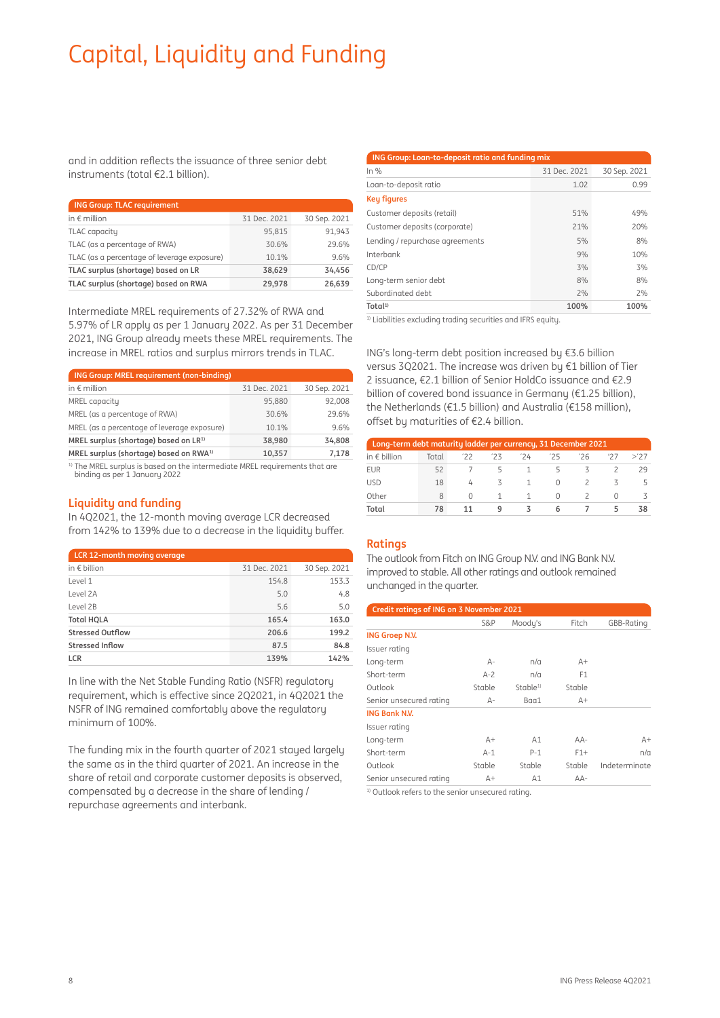# Capital, Liquidity and Funding

and in addition reflects the issuance of three senior debt instruments (total €2.1 billion).

| <b>ING Group: TLAC requirement</b>          |              |              |  |  |  |  |
|---------------------------------------------|--------------|--------------|--|--|--|--|
| in $\epsilon$ million                       | 31 Dec. 2021 | 30 Sep. 2021 |  |  |  |  |
| TLAC capacity                               | 95,815       | 91,943       |  |  |  |  |
| TLAC (as a percentage of RWA)               | 30.6%        | 29.6%        |  |  |  |  |
| TLAC (as a percentage of leverage exposure) | 10.1%        | 9.6%         |  |  |  |  |
| TLAC surplus (shortage) based on LR         | 38,629       | 34.456       |  |  |  |  |
| TLAC surplus (shortage) based on RWA        | 29,978       | 26.639       |  |  |  |  |

Intermediate MREL requirements of 27.32% of RWA and 5.97% of LR apply as per 1 January 2022. As per 31 December 2021, ING Group already meets these MREL requirements. The increase in MREL ratios and surplus mirrors trends in TLAC.

| <b>ING Group: MREL requirement (non-binding)</b>   |              |              |
|----------------------------------------------------|--------------|--------------|
| in $\epsilon$ million                              | 31 Dec. 2021 | 30 Sep. 2021 |
| MREL capacity                                      | 95.880       | 92,008       |
| MREL (as a percentage of RWA)                      | 30.6%        | 29.6%        |
| MREL (as a percentage of leverage exposure)        | 10.1%        | 9.6%         |
| MREL surplus (shortage) based on LR <sup>1)</sup>  | 38.980       | 34,808       |
| MREL surplus (shortage) based on RWA <sup>1)</sup> | 10,357       | 7,178        |

<sup>1)</sup> The MREL surplus is based on the intermediate MREL requirements that are binding as per 1 January 2022

## **Liquidity and funding**

In 4Q2021, the 12-month moving average LCR decreased from 142% to 139% due to a decrease in the liquidity buffer.

| LCR 12-month moving average |              |              |
|-----------------------------|--------------|--------------|
| in $\epsilon$ billion       | 31 Dec. 2021 | 30 Sep. 2021 |
| Level 1                     | 154.8        | 153.3        |
| Level 2A                    | 5.0          | 4.8          |
| Level 2B                    | 5.6          | 5.0          |
| <b>Total HQLA</b>           | 165.4        | 163.0        |
| <b>Stressed Outflow</b>     | 206.6        | 199.2        |
| Stressed Inflow             | 87.5         | 84.8         |
| <b>LCR</b>                  | 139%         | 142%         |

In line with the Net Stable Funding Ratio (NSFR) regulatory requirement, which is effective since 2Q2021, in 4Q2021 the NSFR of ING remained comfortably above the regulatory minimum of 100%.

The funding mix in the fourth quarter of 2021 stayed largely the same as in the third quarter of 2021. An increase in the share of retail and corporate customer deposits is observed, compensated by a decrease in the share of lending / repurchase agreements and interbank.

## **ING Group: Loan-to-deposit ratio and funding mix**

| In $%$                          | 31 Dec. 2021 | 30 Sep. 2021 |
|---------------------------------|--------------|--------------|
| Loan-to-deposit ratio           | 1.02         | 0.99         |
| <b>Key figures</b>              |              |              |
| Customer deposits (retail)      | 51%          | 49%          |
| Customer deposits (corporate)   | 21%          | 20%          |
| Lending / repurchase agreements | 5%           | 8%           |
| Interbank                       | 9%           | 10%          |
| CD/CP                           | 3%           | 3%           |
| Long-term senior debt           | 8%           | 8%           |
| Subordinated debt               | 2%           | 2%           |
| Total <sup>1</sup>              | 100%         | 100%         |

<sup>1)</sup> Liabilities excluding trading securities and IFRS equity.

ING's long-term debt position increased by €3.6 billion versus 3Q2021. The increase was driven by €1 billion of Tier 2 issuance, €2.1 billion of Senior HoldCo issuance and €2.9 billion of covered bond issuance in Germany (€1.25 billion), the Netherlands (€1.5 billion) and Australia (€158 million), offset by maturities of €2.4 billion.

| Long-term debt maturity ladder per currency, 31 December 2021 |       |    |     |     |          |    |   |     |  |
|---------------------------------------------------------------|-------|----|-----|-----|----------|----|---|-----|--|
| in $\epsilon$ billion                                         | Total | 72 | '23 | '24 | 75       | 26 |   | >77 |  |
| <b>EUR</b>                                                    | 52    |    | 5   |     | ь.       |    |   | 29  |  |
| <b>USD</b>                                                    | 18    | 厶  |     |     | $^{(1)}$ |    |   |     |  |
| Other                                                         | 8     |    |     | 1.  |          |    |   |     |  |
| Total                                                         | 78    |    | q   |     | 6        |    | ∽ | 38  |  |

## **Ratings**

The outlook from Fitch on ING Group N.V. and ING Bank N.V. improved to stable. All other ratings and outlook remained unchanged in the quarter.

| Credit ratings of ING on 3 November 2021 |        |                     |                |               |  |  |  |
|------------------------------------------|--------|---------------------|----------------|---------------|--|--|--|
|                                          | S&P    | Moody's             | Fitch          | GBB-Rating    |  |  |  |
| <b>ING Groep N.V.</b>                    |        |                     |                |               |  |  |  |
| Issuer rating                            |        |                     |                |               |  |  |  |
| Long-term                                | $A-$   | n/a                 | $A+$           |               |  |  |  |
| Short-term                               | $A-2$  | n/a                 | F <sub>1</sub> |               |  |  |  |
| Outlook                                  | Stable | Stable <sup>1</sup> | Stable         |               |  |  |  |
| Senior unsecured rating                  | A-     | Baa1                | $A+$           |               |  |  |  |
| <b>ING Bank N.V.</b>                     |        |                     |                |               |  |  |  |
| Issuer rating                            |        |                     |                |               |  |  |  |
| Long-term                                | $A+$   | A1                  | $AA-$          | $A+$          |  |  |  |
| Short-term                               | $A-1$  | $P-1$               | $F1+$          | n/a           |  |  |  |
| Outlook                                  | Stable | Stable              | Stable         | Indeterminate |  |  |  |
| Senior unsecured rating                  | A+     | A1                  | $AA-$          |               |  |  |  |

<sup>1)</sup> Outlook refers to the senior unsecured rating.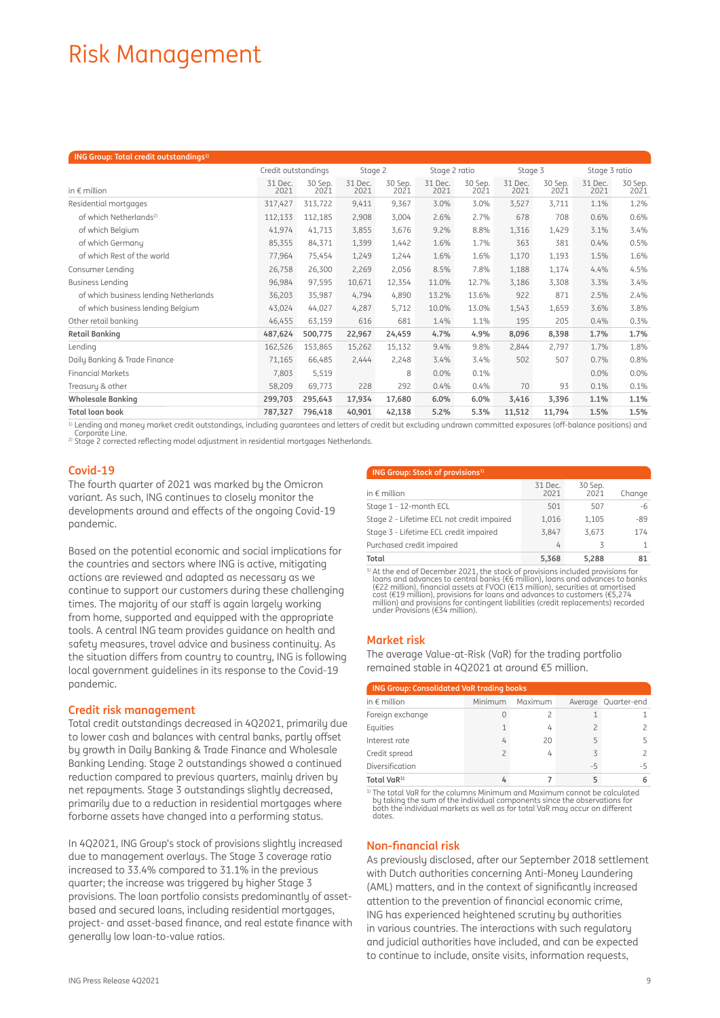## Risk Management

| ING Group: Total credit outstandings <sup>1)</sup> |                     |                 |                 |                 |                 |                 |                 |                 |                 |                 |
|----------------------------------------------------|---------------------|-----------------|-----------------|-----------------|-----------------|-----------------|-----------------|-----------------|-----------------|-----------------|
|                                                    | Credit outstandings |                 | Stage 2         |                 | Stage 2 ratio   |                 | Stage 3         |                 | Stage 3 ratio   |                 |
| in $\epsilon$ million                              | 31 Dec.<br>2021     | 30 Sep.<br>2021 | 31 Dec.<br>2021 | 30 Sep.<br>2021 | 31 Dec.<br>2021 | 30 Sep.<br>2021 | 31 Dec.<br>2021 | 30 Sep.<br>2021 | 31 Dec.<br>2021 | 30 Sep.<br>2021 |
| Residential mortgages                              | 317,427             | 313,722         | 9,411           | 9,367           | 3.0%            | 3.0%            | 3,527           | 3,711           | 1.1%            | 1.2%            |
| of which Netherlands <sup>2)</sup>                 | 112,133             | 112,185         | 2,908           | 3,004           | 2.6%            | 2.7%            | 678             | 708             | 0.6%            | 0.6%            |
| of which Belgium                                   | 41,974              | 41,713          | 3,855           | 3,676           | 9.2%            | 8.8%            | 1,316           | 1,429           | 3.1%            | 3.4%            |
| of which Germany                                   | 85,355              | 84,371          | 1,399           | 1,442           | 1.6%            | 1.7%            | 363             | 381             | 0.4%            | 0.5%            |
| of which Rest of the world                         | 77,964              | 75,454          | 1,249           | 1,244           | 1.6%            | 1.6%            | 1,170           | 1,193           | 1.5%            | 1.6%            |
| Consumer Lending                                   | 26,758              | 26,300          | 2,269           | 2,056           | 8.5%            | 7.8%            | 1,188           | 1,174           | 4.4%            | 4.5%            |
| <b>Business Lending</b>                            | 96,984              | 97,595          | 10,671          | 12,354          | 11.0%           | 12.7%           | 3,186           | 3,308           | 3.3%            | 3.4%            |
| of which business lending Netherlands              | 36,203              | 35,987          | 4,794           | 4,890           | 13.2%           | 13.6%           | 922             | 871             | 2.5%            | 2.4%            |
| of which business lending Belgium                  | 43,024              | 44,027          | 4,287           | 5,712           | 10.0%           | 13.0%           | 1,543           | 1,659           | 3.6%            | 3.8%            |
| Other retail banking                               | 46,455              | 63,159          | 616             | 681             | 1.4%            | 1.1%            | 195             | 205             | 0.4%            | 0.3%            |
| <b>Retail Banking</b>                              | 487,624             | 500,775         | 22,967          | 24,459          | 4.7%            | 4.9%            | 8,096           | 8,398           | 1.7%            | 1.7%            |
| Lending                                            | 162,526             | 153,865         | 15,262          | 15,132          | 9.4%            | 9.8%            | 2,844           | 2,797           | 1.7%            | 1.8%            |
| Daily Banking & Trade Finance                      | 71,165              | 66,485          | 2,444           | 2,248           | 3.4%            | 3.4%            | 502             | 507             | 0.7%            | 0.8%            |
| <b>Financial Markets</b>                           | 7,803               | 5,519           |                 | 8               | 0.0%            | 0.1%            |                 |                 | 0.0%            | 0.0%            |
| Treasury & other                                   | 58,209              | 69,773          | 228             | 292             | 0.4%            | 0.4%            | 70              | 93              | 0.1%            | 0.1%            |
| <b>Wholesale Banking</b>                           | 299,703             | 295,643         | 17,934          | 17,680          | 6.0%            | 6.0%            | 3,416           | 3,396           | 1.1%            | 1.1%            |
| <b>Total loan book</b>                             | 787,327             | 796,418         | 40,901          | 42,138          | 5.2%            | 5.3%            | 11,512          | 11,794          | 1.5%            | 1.5%            |

1) Lending and money market credit outstandings, including guarantees and letters of credit but excluding undrawn committed exposures (off-balance positions) and

<sup>2)</sup> Stage 2 corrected reflecting model adjustment in residential mortgages Netherlands.

## **Covid-19**

The fourth quarter of 2021 was marked by the Omicron variant. As such, ING continues to closely monitor the developments around and effects of the ongoing Covid-19 pandemic.

Based on the potential economic and social implications for the countries and sectors where ING is active, mitigating actions are reviewed and adapted as necessary as we continue to support our customers during these challenging times. The majority of our staff is again largely working from home, supported and equipped with the appropriate tools. A central ING team provides guidance on health and safety measures, travel advice and business continuity. As the situation differs from country to country, ING is following local government guidelines in its response to the Covid-19 pandemic.

## **Credit risk management**

Total credit outstandings decreased in 4Q2021, primarily due to lower cash and balances with central banks, partly offset by growth in Daily Banking & Trade Finance and Wholesale Banking Lending. Stage 2 outstandings showed a continued reduction compared to previous quarters, mainly driven by net repayments. Stage 3 outstandings slightly decreased, primarily due to a reduction in residential mortgages where forborne assets have changed into a performing status.

In 4Q2021, ING Group's stock of provisions slightly increased due to management overlays. The Stage 3 coverage ratio increased to 33.4% compared to 31.1% in the previous quarter; the increase was triggered by higher Stage 3 provisions. The loan portfolio consists predominantly of assetbased and secured loans, including residential mortgages, project- and asset-based finance, and real estate finance with generally low loan-to-value ratios.

| <b>ING Group: Stock of provisions</b> <sup>1)</sup> |                 |                 |        |  |  |  |
|-----------------------------------------------------|-----------------|-----------------|--------|--|--|--|
| in $\epsilon$ million                               | 31 Dec.<br>2021 | 30 Sep.<br>2021 | Change |  |  |  |
| Stage 1 - 12-month ECL                              | 501             | 507             | $-6$   |  |  |  |
| Stage 2 - Lifetime ECL not credit impaired          | 1,016           | 1,105           | $-89$  |  |  |  |
| Stage 3 - Lifetime ECL credit impaired              | 3,847           | 3,673           | 174    |  |  |  |
| Purchased credit impaired                           | 4               | 3               | 1      |  |  |  |
| Total                                               | 5.368           | 5.288           | 81     |  |  |  |

<sup>1</sup> At the end of December 2021, the stock of provisions included provisions for loans and advances to central banks (€6 million), loans and advances to banks (€22 million), financial assets at FVOCI (€13 million), securities at amortised cost (€13 million), provisions for contingant divideo million)

## **Market risk**

The average Value-at-Risk (VaR) for the trading portfolio remained stable in 4Q2021 at around €5 million.

| <b>ING Group: Consolidated VaR trading books</b> |         |         |                          |                     |  |  |  |
|--------------------------------------------------|---------|---------|--------------------------|---------------------|--|--|--|
| in $\epsilon$ million                            | Minimum | Maximum |                          | Average Quarter-end |  |  |  |
| Foreign exchange                                 |         |         |                          |                     |  |  |  |
| Equities                                         |         | 4       |                          |                     |  |  |  |
| Interest rate                                    | 4       | 20      |                          |                     |  |  |  |
| Credit spread                                    | 2       | 4       | $\overline{\phantom{a}}$ |                     |  |  |  |
| Diversification                                  |         |         | $-5$                     | -5                  |  |  |  |
| Total VaR <sup>1)</sup>                          |         |         |                          |                     |  |  |  |

prime total VaR for the columns Minimum and Maximum cannot be calculated by taking the sum of the individual components since the observations for<br>by taking the sum of the individual markets as well as for total VaR may oc dates.

### **Non-financial risk**

As previously disclosed, after our September 2018 settlement with Dutch authorities concerning Anti-Money Laundering (AML) matters, and in the context of significantly increased attention to the prevention of financial economic crime, ING has experienced heightened scrutiny by authorities in various countries. The interactions with such regulatory and judicial authorities have included, and can be expected to continue to include, onsite visits, information requests,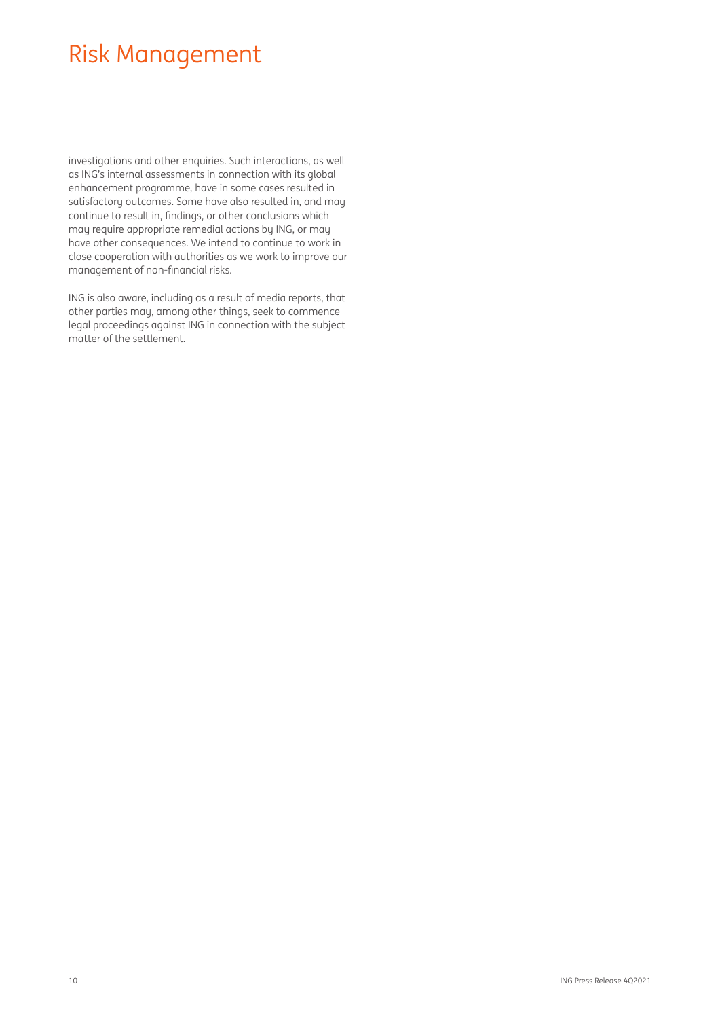## Risk Management

investigations and other enquiries. Such interactions, as well as ING's internal assessments in connection with its global enhancement programme, have in some cases resulted in satisfactory outcomes. Some have also resulted in, and may continue to result in, findings, or other conclusions which may require appropriate remedial actions by ING, or may have other consequences. We intend to continue to work in close cooperation with authorities as we work to improve our management of non-financial risks.

ING is also aware, including as a result of media reports, that other parties may, among other things, seek to commence legal proceedings against ING in connection with the subject matter of the settlement.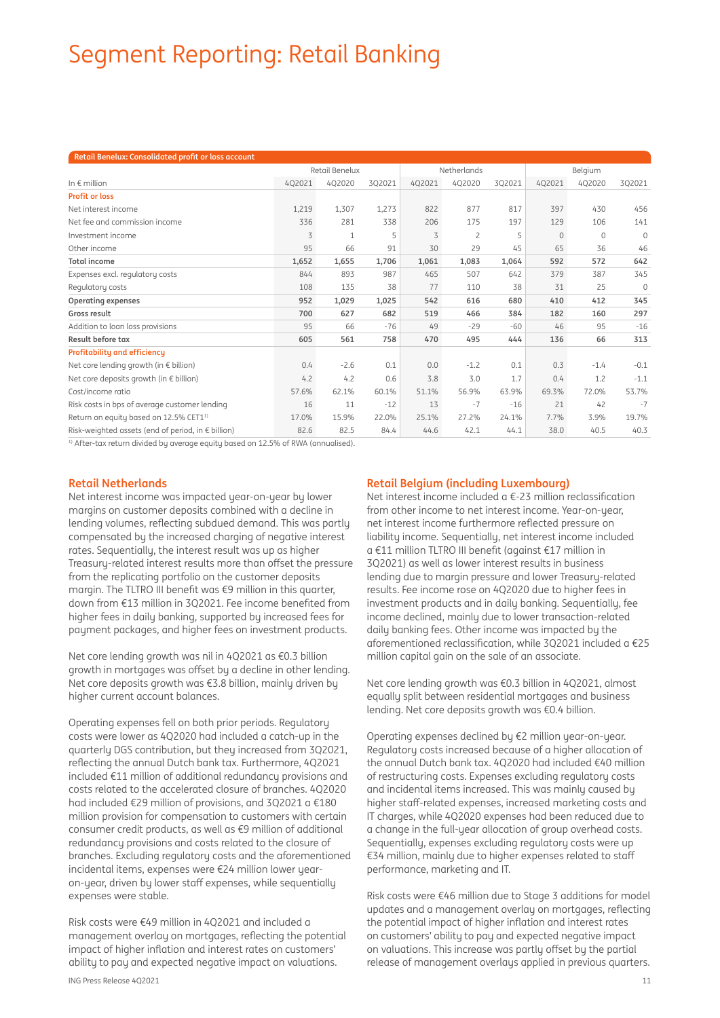# Segment Reporting: Retail Banking

| Retail Benelux: Consolidated profit or loss account         |                |        |             |        |                |        |          |          |              |
|-------------------------------------------------------------|----------------|--------|-------------|--------|----------------|--------|----------|----------|--------------|
|                                                             | Retail Benelux |        | Netherlands |        | Belgium        |        |          |          |              |
| In $\epsilon$ million                                       | 402021         | 4Q2020 | 3Q2021      | 4Q2021 | 4Q2020         | 3Q2021 | 402021   | 4Q2020   | 3Q2021       |
| <b>Profit or loss</b>                                       |                |        |             |        |                |        |          |          |              |
| Net interest income                                         | 1,219          | 1,307  | 1,273       | 822    | 877            | 817    | 397      | 430      | 456          |
| Net fee and commission income                               | 336            | 281    | 338         | 206    | 175            | 197    | 129      | 106      | 141          |
| Investment income                                           | 3              | 1      | 5           | 3      | $\overline{c}$ | 5      | $\Omega$ | $\Omega$ | $\Omega$     |
| Other income                                                | 95             | 66     | 91          | 30     | 29             | 45     | 65       | 36       | 46           |
| <b>Total income</b>                                         | 1,652          | 1,655  | 1,706       | 1,061  | 1,083          | 1,064  | 592      | 572      | 642          |
| Expenses excl. regulatory costs                             | 844            | 893    | 987         | 465    | 507            | 642    | 379      | 387      | 345          |
| Regulatory costs                                            | 108            | 135    | 38          | 77     | 110            | 38     | 31       | 25       | $\mathbf{0}$ |
| <b>Operating expenses</b>                                   | 952            | 1,029  | 1,025       | 542    | 616            | 680    | 410      | 412      | 345          |
| Gross result                                                | 700            | 627    | 682         | 519    | 466            | 384    | 182      | 160      | 297          |
| Addition to loan loss provisions                            | 95             | 66     | $-76$       | 49     | $-29$          | $-60$  | 46       | 95       | $-16$        |
| Result before tax                                           | 605            | 561    | 758         | 470    | 495            | 444    | 136      | 66       | 313          |
| Profitability and efficiency                                |                |        |             |        |                |        |          |          |              |
| Net core lending growth (in $\epsilon$ billion)             | 0.4            | $-2.6$ | 0.1         | 0.0    | $-1.2$         | 0.1    | 0.3      | $-1.4$   | $-0.1$       |
| Net core deposits growth (in $\epsilon$ billion)            | 4.2            | 4.2    | 0.6         | 3.8    | 3.0            | 1.7    | 0.4      | 1.2      | $-1.1$       |
| Cost/income ratio                                           | 57.6%          | 62.1%  | 60.1%       | 51.1%  | 56.9%          | 63.9%  | 69.3%    | 72.0%    | 53.7%        |
| Risk costs in bps of average customer lending               | 16             | 11     | $-12$       | 13     | $-7$           | $-16$  | 21       | 42       | $-7$         |
| Return on equity based on 12.5% CET11)                      | 17.0%          | 15.9%  | 22.0%       | 25.1%  | 27.2%          | 24.1%  | 7.7%     | 3.9%     | 19.7%        |
| Risk-weighted assets (end of period, in $\epsilon$ billion) | 82.6           | 82.5   | 84.4        | 44.6   | 42.1           | 44.1   | 38.0     | 40.5     | 40.3         |

<sup>1)</sup> After-tax return divided by average equity based on 12.5% of RWA (annualised).

## **Retail Netherlands**

Net interest income was impacted year-on-year by lower margins on customer deposits combined with a decline in lending volumes, reflecting subdued demand. This was partly compensated by the increased charging of negative interest rates. Sequentially, the interest result was up as higher Treasury-related interest results more than offset the pressure from the replicating portfolio on the customer deposits margin. The TLTRO III benefit was  $\epsilon$ 9 million in this quarter, down from €13 million in 3Q2021. Fee income benefited from higher fees in daily banking, supported by increased fees for payment packages, and higher fees on investment products.

Net core lending growth was nil in 4Q2021 as €0.3 billion growth in mortgages was offset by a decline in other lending. Net core deposits growth was €3.8 billion, mainly driven by higher current account balances.

Operating expenses fell on both prior periods. Regulatory costs were lower as 4Q2020 had included a catch-up in the quarterly DGS contribution, but they increased from 3Q2021, reflecting the annual Dutch bank tax. Furthermore, 4Q2021 included €11 million of additional redundancy provisions and costs related to the accelerated closure of branches. 4Q2020 had included €29 million of provisions, and 3Q2021 a €180 million provision for compensation to customers with certain consumer credit products, as well as €9 million of additional redundancy provisions and costs related to the closure of branches. Excluding regulatory costs and the aforementioned incidental items, expenses were €24 million lower yearon-year, driven by lower staff expenses, while sequentially expenses were stable.

Risk costs were €49 million in 4Q2021 and included a management overlay on mortgages, reflecting the potential impact of higher inflation and interest rates on customers' ability to pay and expected negative impact on valuations.

## **Retail Belgium (including Luxembourg)**

Net interest income included  $a \in 23$  million reclassification from other income to net interest income. Year-on-year, net interest income furthermore reflected pressure on liability income. Sequentially, net interest income included a €11 million TLTRO III benefit (against €17 million in 3Q2021) as well as lower interest results in business lending due to margin pressure and lower Treasury-related results. Fee income rose on 4Q2020 due to higher fees in investment products and in daily banking. Sequentially, fee income declined, mainly due to lower transaction-related daily banking fees. Other income was impacted by the aforementioned reclassification, while 3Q2021 included a  $E$ 25 million capital gain on the sale of an associate.

Net core lending growth was €0.3 billion in 4Q2021, almost equally split between residential mortgages and business lending. Net core deposits growth was €0.4 billion.

Operating expenses declined by €2 million year-on-year. Regulatory costs increased because of a higher allocation of the annual Dutch bank tax. 4Q2020 had included €40 million of restructuring costs. Expenses excluding regulatory costs and incidental items increased. This was mainly caused by higher staff-related expenses, increased marketing costs and IT charges, while 4Q2020 expenses had been reduced due to a change in the full-year allocation of group overhead costs. Sequentially, expenses excluding regulatory costs were up €34 million, mainly due to higher expenses related to staff performance, marketing and IT.

Risk costs were €46 million due to Stage 3 additions for model updates and a management overlay on mortgages, reflecting the potential impact of higher inflation and interest rates on customers' ability to pay and expected negative impact on valuations. This increase was partly offset by the partial release of management overlays applied in previous quarters.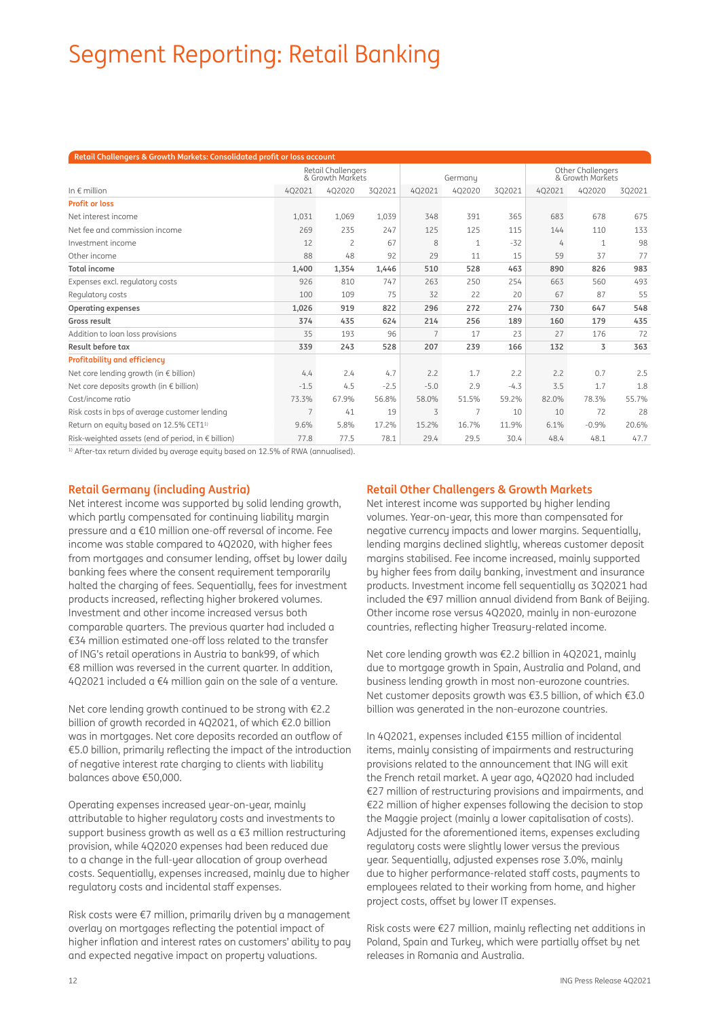# Segment Reporting: Retail Banking

| Retail Challengers & Growth Markets: Consolidated profit or loss account |                                        |                |         |                |                                              |        |        |         |        |
|--------------------------------------------------------------------------|----------------------------------------|----------------|---------|----------------|----------------------------------------------|--------|--------|---------|--------|
|                                                                          | Retail Challengers<br>& Growth Markets |                | Germany |                | <b>Other Challengers</b><br>& Growth Markets |        |        |         |        |
| In $\epsilon$ million                                                    | 402021                                 | 4Q2020         | 3Q2021  | 402021         | 402020                                       | 302021 | 402021 | 402020  | 3Q2021 |
| <b>Profit or loss</b>                                                    |                                        |                |         |                |                                              |        |        |         |        |
| Net interest income                                                      | 1,031                                  | 1.069          | 1,039   | 348            | 391                                          | 365    | 683    | 678     | 675    |
| Net fee and commission income                                            | 269                                    | 235            | 247     | 125            | 125                                          | 115    | 144    | 110     | 133    |
| Investment income                                                        | 12                                     | $\overline{c}$ | 67      | 8              | $\mathbf{1}$                                 | $-32$  | 4      | 1       | 98     |
| Other income                                                             | 88                                     | 48             | 92      | 29             | 11                                           | 15     | 59     | 37      | 77     |
| <b>Total income</b>                                                      | 1,400                                  | 1,354          | 1,446   | 510            | 528                                          | 463    | 890    | 826     | 983    |
| Expenses excl. regulatory costs                                          | 926                                    | 810            | 747     | 263            | 250                                          | 254    | 663    | 560     | 493    |
| Regulatory costs                                                         | 100                                    | 109            | 75      | 32             | 22                                           | 20     | 67     | 87      | 55     |
| Operating expenses                                                       | 1,026                                  | 919            | 822     | 296            | 272                                          | 274    | 730    | 647     | 548    |
| Gross result                                                             | 374                                    | 435            | 624     | 214            | 256                                          | 189    | 160    | 179     | 435    |
| Addition to loan loss provisions                                         | 35                                     | 193            | 96      | $\overline{7}$ | 17                                           | 23     | 27     | 176     | 72     |
| Result before tax                                                        | 339                                    | 243            | 528     | 207            | 239                                          | 166    | 132    | 3       | 363    |
| <b>Profitability and efficiency</b>                                      |                                        |                |         |                |                                              |        |        |         |        |
| Net core lending growth (in $\epsilon$ billion)                          | 4.4                                    | 2.4            | 4.7     | 2.2            | 1.7                                          | 2.2    | 2.2    | 0.7     | 2.5    |
| Net core deposits growth (in $\epsilon$ billion)                         | $-1.5$                                 | 4.5            | $-2.5$  | $-5.0$         | 2.9                                          | $-4.3$ | 3.5    | 1.7     | 1.8    |
| Cost/income ratio                                                        | 73.3%                                  | 67.9%          | 56.8%   | 58.0%          | 51.5%                                        | 59.2%  | 82.0%  | 78.3%   | 55.7%  |
| Risk costs in bps of average customer lending                            | 7                                      | 41             | 19      | 3              | 7                                            | 10     | 10     | 72      | 28     |
| Return on equity based on 12.5% CET1 <sup>1)</sup>                       | 9.6%                                   | 5.8%           | 17.2%   | 15.2%          | 16.7%                                        | 11.9%  | 6.1%   | $-0.9%$ | 20.6%  |
| Risk-weighted assets (end of period, in $\epsilon$ billion)              | 77.8                                   | 77.5           | 78.1    | 29.4           | 29.5                                         | 30.4   | 48.4   | 48.1    | 47.7   |

<sup>1)</sup> After-tax return divided by average equity based on 12.5% of RWA (annualised).

## **Retail Germany (including Austria)**

Net interest income was supported by solid lending growth, which partly compensated for continuing liability margin pressure and a €10 million one-off reversal of income. Fee income was stable compared to 4Q2020, with higher fees from mortgages and consumer lending, offset by lower daily banking fees where the consent requirement temporarily halted the charging of fees. Sequentially, fees for investment products increased, reflecting higher brokered volumes. Investment and other income increased versus both comparable quarters. The previous quarter had included a €34 million estimated one-off loss related to the transfer of ING's retail operations in Austria to bank99, of which €8 million was reversed in the current quarter. In addition, 4Q2021 included a  $€4$  million gain on the sale of a venture.

Net core lending growth continued to be strong with €2.2 billion of growth recorded in 4Q2021, of which €2.0 billion was in mortgages. Net core deposits recorded an outflow of  $€5.0$  billion, primarily reflecting the impact of the introduction of negative interest rate charging to clients with liability balances above €50,000.

Operating expenses increased year-on-year, mainly attributable to higher regulatory costs and investments to support business growth as well as a €3 million restructuring provision, while 4Q2020 expenses had been reduced due to a change in the full-year allocation of group overhead costs. Sequentially, expenses increased, mainly due to higher regulatory costs and incidental staff expenses.

Risk costs were €7 million, primarily driven by a management overlay on mortgages reflecting the potential impact of higher inflation and interest rates on customers' ability to pay and expected negative impact on property valuations.

## **Retail Other Challengers & Growth Markets**

Net interest income was supported by higher lending volumes. Year-on-year, this more than compensated for negative currency impacts and lower margins. Sequentially, lending margins declined slightly, whereas customer deposit margins stabilised. Fee income increased, mainly supported by higher fees from daily banking, investment and insurance products. Investment income fell sequentially as 3Q2021 had included the €97 million annual dividend from Bank of Beijing. Other income rose versus 4Q2020, mainly in non-eurozone countries, reflecting higher Treasury-related income.

Net core lending growth was €2.2 billion in 4Q2021, mainly due to mortgage growth in Spain, Australia and Poland, and business lending growth in most non-eurozone countries. Net customer deposits growth was €3.5 billion, of which €3.0 billion was generated in the non-eurozone countries.

In 4Q2021, expenses included €155 million of incidental items, mainly consisting of impairments and restructuring provisions related to the announcement that ING will exit the French retail market. A year ago, 4Q2020 had included €27 million of restructuring provisions and impairments, and €22 million of higher expenses following the decision to stop the Maggie project (mainly a lower capitalisation of costs). Adjusted for the aforementioned items, expenses excluding regulatory costs were slightly lower versus the previous year. Sequentially, adjusted expenses rose 3.0%, mainly due to higher performance-related staff costs, payments to employees related to their working from home, and higher project costs, offset by lower IT expenses.

Risk costs were  $E$ 27 million, mainly reflecting net additions in Poland, Spain and Turkey, which were partially offset by net releases in Romania and Australia.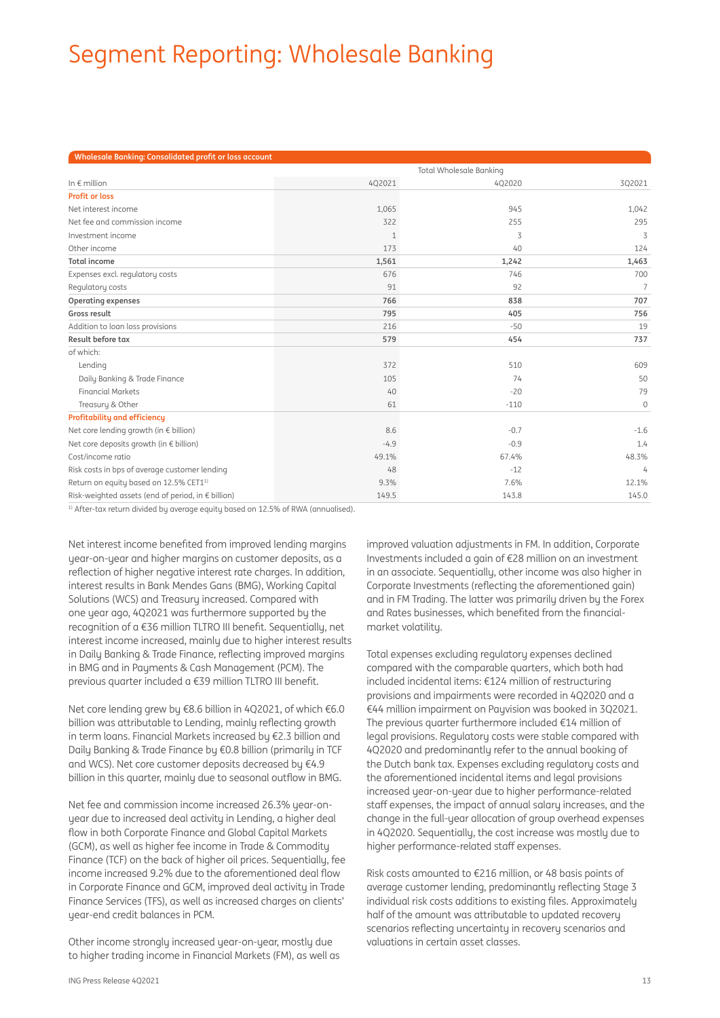# Segment Reporting: Wholesale Banking

| Wholesale Banking: Consolidated profit or loss account |              |        |                 |
|--------------------------------------------------------|--------------|--------|-----------------|
|                                                        |              |        |                 |
| In $\epsilon$ million                                  | 4Q2021       | 4Q2020 | 3Q2021          |
| <b>Profit or loss</b>                                  |              |        |                 |
| Net interest income                                    | 1,065        | 945    | 1,042           |
| Net fee and commission income                          | 322          | 255    | 295             |
| Investment income                                      | $\mathbf{1}$ | 3      | 3               |
| Other income                                           | 173          | 40     | 124             |
| <b>Total income</b>                                    | 1,561        | 1,242  | 1,463           |
| Expenses excl. regulatory costs                        | 676          | 746    | 700             |
| Regulatory costs                                       | 91           | 92     | $7\overline{ }$ |
| <b>Operating expenses</b>                              | 766          | 838    | 707             |
| Gross result                                           | 795          | 405    | 756             |
| Addition to loan loss provisions                       | 216          | $-50$  | 19              |
| Result before tax                                      | 579          | 454    | 737             |
| of which:                                              |              |        |                 |
| Lending                                                | 372          | 510    | 609             |
| Daily Banking & Trade Finance                          | 105          | 74     | 50              |
| <b>Financial Markets</b>                               | $40^{1}$     | $-20$  | 79              |
| Treasury & Other                                       | 61           | $-110$ | $\mathbf 0$     |
| <b>Profitability and efficiency</b>                    |              |        |                 |
| Net core lending growth (in € billion)                 | 8.6          | $-0.7$ | $-1.6$          |
| Net core deposits growth (in € billion)                | $-4.9$       | $-0.9$ | 1.4             |
| Cost/income ratio                                      | 49.1%        | 67.4%  | 48.3%           |
| Risk costs in bps of average customer lending          | 48           | $-12$  | 4               |
| Return on equity based on 12.5% CET11)                 | 9.3%         | 7.6%   | 12.1%           |
| Risk-weighted assets (end of period, in € billion)     | 149.5        | 143.8  | 145.0           |

<sup>1)</sup> After-tax return divided by average equity based on 12.5% of RWA (annualised).

Net interest income benefited from improved lending margins year-on-year and higher margins on customer deposits, as a reflection of higher negative interest rate charges. In addition, interest results in Bank Mendes Gans (BMG), Working Capital Solutions (WCS) and Treasury increased. Compared with one year ago, 4Q2021 was furthermore supported by the recognition of a  $E$ 36 million TLTRO III benefit. Sequentially, net interest income increased, mainly due to higher interest results in Daily Banking & Trade Finance, reflecting improved margins in BMG and in Payments & Cash Management (PCM). The previous quarter included a €39 million TLTRO III benefit.

Net core lending grew by €8.6 billion in 4O2021, of which €6.0 billion was attributable to Lending, mainly reflecting growth in term loans. Financial Markets increased by €2.3 billion and Daily Banking & Trade Finance by €0.8 billion (primarily in TCF and WCS). Net core customer deposits decreased by €4.9 billion in this quarter, mainly due to seasonal outflow in BMG.

Net fee and commission income increased 26.3% year-onyear due to increased deal activity in Lending, a higher deal flow in both Corporate Finance and Global Capital Markets (GCM), as well as higher fee income in Trade & Commodity Finance (TCF) on the back of higher oil prices. Sequentially, fee income increased 9.2% due to the aforementioned deal flow in Corporate Finance and GCM, improved deal activity in Trade Finance Services (TFS), as well as increased charges on clients' year-end credit balances in PCM.

Other income strongly increased year-on-year, mostly due to higher trading income in Financial Markets (FM), as well as improved valuation adjustments in FM. In addition, Corporate Investments included a gain of €28 million on an investment in an associate. Sequentially, other income was also higher in Corporate Investments (reflecting the aforementioned gain) and in FM Trading. The latter was primarily driven by the Forex and Rates businesses, which benefited from the financialmarket volatility.

Total expenses excluding regulatory expenses declined compared with the comparable quarters, which both had included incidental items: €124 million of restructuring provisions and impairments were recorded in 4Q2020 and a €44 million impairment on Payvision was booked in 3Q2021. The previous quarter furthermore included €14 million of legal provisions. Regulatory costs were stable compared with 4Q2020 and predominantly refer to the annual booking of the Dutch bank tax. Expenses excluding regulatory costs and the aforementioned incidental items and legal provisions increased year-on-year due to higher performance-related staff expenses, the impact of annual salary increases, and the change in the full-year allocation of group overhead expenses in 4Q2020. Sequentially, the cost increase was mostly due to higher performance-related staff expenses.

Risk costs amounted to €216 million, or 48 basis points of average customer lending, predominantly reflecting Stage 3 individual risk costs additions to existing files. Approximately half of the amount was attributable to updated recovery scenarios reflecting uncertainty in recovery scenarios and valuations in certain asset classes.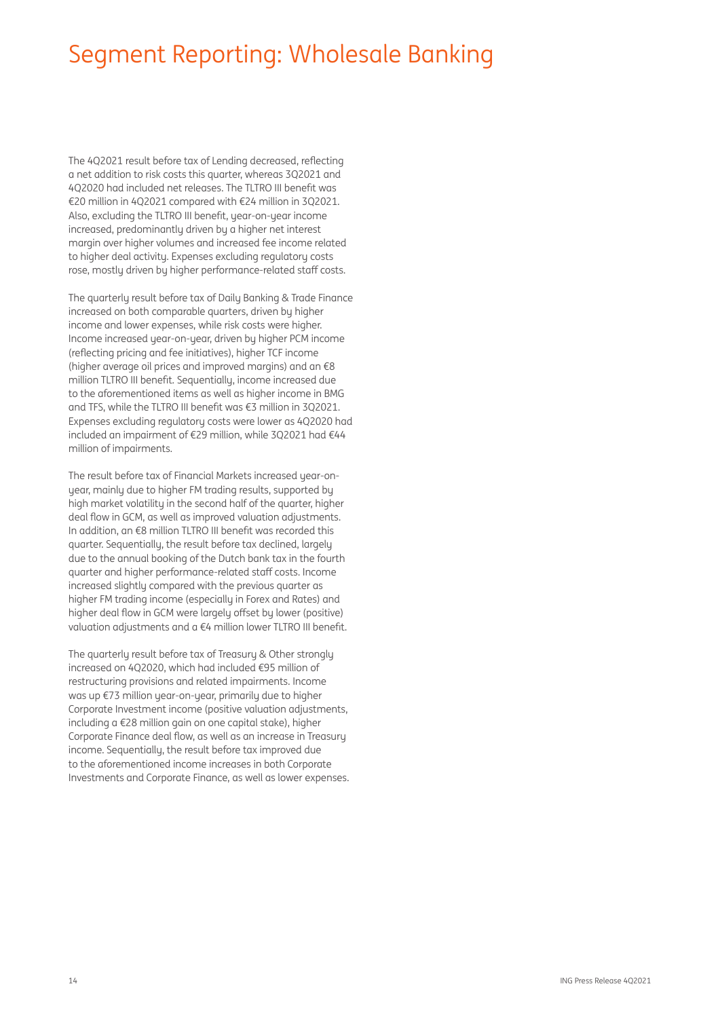## Segment Reporting: Wholesale Banking

The 402021 result before tax of Lending decreased, reflecting a net addition to risk costs this quarter, whereas 3Q2021 and 4Q2020 had included net releases. The TLTRO III benefit was €20 million in 4Q2021 compared with €24 million in 3Q2021. Also, excluding the TLTRO III benefit, year-on-year income increased, predominantly driven by a higher net interest margin over higher volumes and increased fee income related to higher deal activity. Expenses excluding regulatory costs rose, mostly driven by higher performance-related staff costs.

The quarterly result before tax of Daily Banking & Trade Finance increased on both comparable quarters, driven by higher income and lower expenses, while risk costs were higher. Income increased year-on-year, driven by higher PCM income (reflecting pricing and fee initiatives), higher TCF income (higher average oil prices and improved margins) and an €8 million TLTRO III benefit. Sequentially, income increased due to the aforementioned items as well as higher income in BMG and TFS, while the TLTRO III benefit was €3 million in 3Q2021. Expenses excluding regulatory costs were lower as 4Q2020 had included an impairment of €29 million, while 3Q2021 had €44 million of impairments.

The result before tax of Financial Markets increased year-onyear, mainly due to higher FM trading results, supported by high market volatility in the second half of the quarter, higher deal flow in GCM, as well as improved valuation adjustments. In addition, an €8 million TLTRO III benefit was recorded this quarter. Sequentially, the result before tax declined, largely due to the annual booking of the Dutch bank tax in the fourth quarter and higher performance-related staff costs. Income increased slightly compared with the previous quarter as higher FM trading income (especially in Forex and Rates) and higher deal flow in GCM were largely offset by lower (positive) valuation adjustments and a  $€4$  million lower TLTRO III benefit.

The quarterly result before tax of Treasury & Other strongly increased on 4Q2020, which had included €95 million of restructuring provisions and related impairments. Income was up €73 million year-on-year, primarily due to higher Corporate Investment income (positive valuation adjustments, including a €28 million gain on one capital stake), higher Corporate Finance deal flow, as well as an increase in Treasuru income. Sequentially, the result before tax improved due to the aforementioned income increases in both Corporate Investments and Corporate Finance, as well as lower expenses.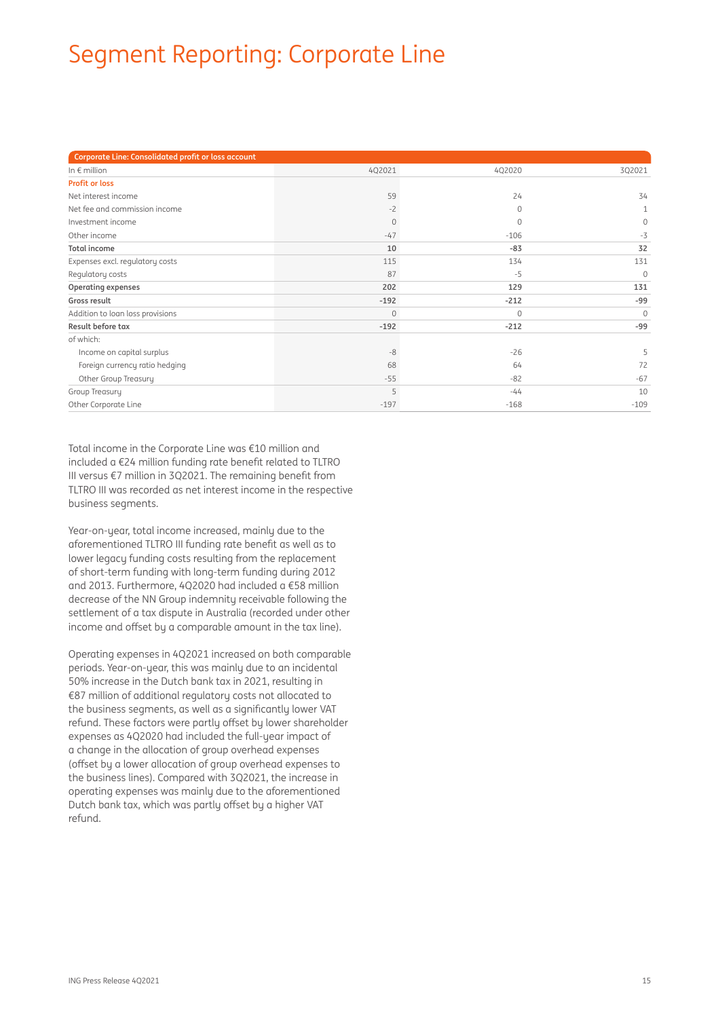# Segment Reporting: Corporate Line

| Corporate Line: Consolidated profit or loss account |          |          |              |
|-----------------------------------------------------|----------|----------|--------------|
| In $\epsilon$ million                               | 4Q2021   | 4Q2020   | 3Q2021       |
| <b>Profit or loss</b>                               |          |          |              |
| Net interest income                                 | 59       | 24       | 34           |
| Net fee and commission income                       | $-2$     | 0        | 1            |
| Investment income                                   | $\Omega$ | $\Omega$ | $\Omega$     |
| Other income                                        | $-47$    | $-106$   | $-3$         |
| <b>Total income</b>                                 | 10       | $-83$    | 32           |
| Expenses excl. regulatory costs                     | 115      | 134      | 131          |
| Regulatory costs                                    | 87       | $-5$     | $\mathbf{0}$ |
| Operating expenses                                  | 202      | 129      | 131          |
| Gross result                                        | $-192$   | $-212$   | $-99$        |
| Addition to loan loss provisions                    | $\circ$  | 0        | $\Omega$     |
| Result before tax                                   | $-192$   | $-212$   | $-99$        |
| of which:                                           |          |          |              |
| Income on capital surplus                           | $-8$     | $-26$    | 5            |
| Foreign currency ratio hedging                      | 68       | 64       | 72           |
| Other Group Treasury                                | $-55$    | $-82$    | $-67$        |
| Group Treasury                                      | 5        | $-44$    | 10           |
| Other Corporate Line                                | $-197$   | $-168$   | $-109$       |

Total income in the Corporate Line was €10 million and included a  $E24$  million funding rate benefit related to TLTRO III versus  $\epsilon$ 7 million in 3Q2021. The remaining benefit from TLTRO III was recorded as net interest income in the respective business segments.

Year-on-year, total income increased, mainly due to the aforementioned TLTRO III funding rate benefit as well as to lower legacy funding costs resulting from the replacement of short-term funding with long-term funding during 2012 and 2013. Furthermore, 4Q2020 had included a €58 million decrease of the NN Group indemnity receivable following the settlement of a tax dispute in Australia (recorded under other income and offset by a comparable amount in the tax line).

Operating expenses in 4Q2021 increased on both comparable periods. Year-on-year, this was mainly due to an incidental 50% increase in the Dutch bank tax in 2021, resulting in €87 million of additional regulatory costs not allocated to the business segments, as well as a significantly lower VAT refund. These factors were partly offset by lower shareholder expenses as 4Q2020 had included the full-year impact of a change in the allocation of group overhead expenses (offset by a lower allocation of group overhead expenses to the business lines). Compared with 3Q2021, the increase in operating expenses was mainly due to the aforementioned Dutch bank tax, which was partly offset by a higher VAT refund.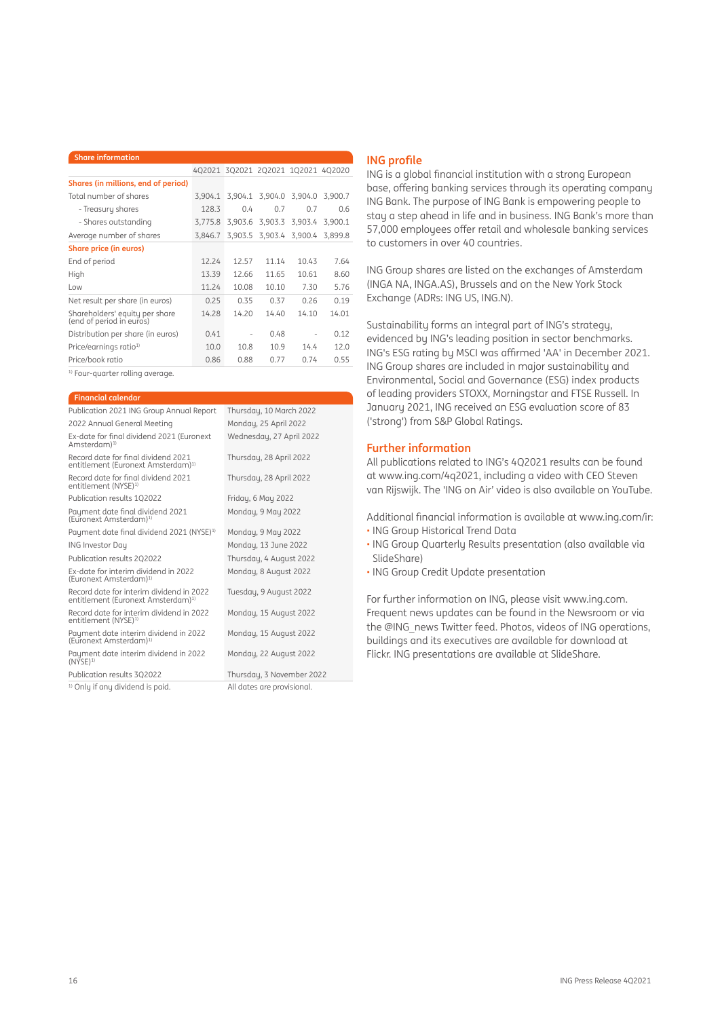| <b>Share information</b>                                   |         |                   |                                    |         |         |
|------------------------------------------------------------|---------|-------------------|------------------------------------|---------|---------|
|                                                            |         |                   | 4Q2021 3Q2021 2Q2021 1Q2021 4Q2020 |         |         |
| Shares (in millions, end of period)                        |         |                   |                                    |         |         |
| Total number of shares                                     | 3,904.1 |                   | 3,904.1 3,904.0 3,904.0            |         | 3.900.7 |
| - Treasury shares                                          | 1283    | 04                | 07                                 | 07      | 06      |
| - Shares outstanding                                       | 3.775.8 |                   | 3.903.6 3.903.3 3.903.4            |         | 3.900.1 |
| Average number of shares                                   | 3.846.7 |                   | 3,903.5 3,903.4                    | 3.900.4 | 3.899.8 |
| <b>Share price (in euros)</b>                              |         |                   |                                    |         |         |
| End of period                                              | 12.24   | 12.57             | 11 14                              | 1043    | 7.64    |
| High                                                       | 1339    | 12.66             | 11.65                              | 10.61   | 8.60    |
| $\log$                                                     | 11.24   | 10.08             | 10.10                              | 7.30    | 5.76    |
| Net result per share (in euros)                            | 0.25    | 0.35              | 0.37                               | 0.26    | 0.19    |
| Shareholders' equity per share<br>(end of period in euros) | 14.28   | 14.20             | 14.40                              | 14.10   | 14.01   |
| Distribution per share (in euros)                          | 0.41    | $\qquad \qquad -$ | 0.48                               |         | 0.12    |
| Price/earnings ratio <sup>1)</sup>                         | 10.0    | 10.8              | 10.9                               | 144     | 12.0    |
| Price/book ratio                                           | 0.86    | 0.88              | 0.77                               | 0.74    | 0.55    |

<sup>1)</sup> Four-quarter rolling average.

| <b>Financial calendar</b> |  |  |
|---------------------------|--|--|
|                           |  |  |

| Publication 2021 ING Group Annual Report                                                   | Thursday, 10 March 2022   |
|--------------------------------------------------------------------------------------------|---------------------------|
| 2022 Annual General Meeting                                                                | Monday, 25 April 2022     |
| Ex-date for final dividend 2021 (Euronext<br>Amsterdam) <sup>1)</sup>                      | Wednesday, 27 April 2022  |
| Record date for final dividend 2021<br>entitlement (Euronext Amsterdam) <sup>1)</sup>      | Thursday, 28 April 2022   |
| Record date for final dividend 2021<br>entitlement (NYSE) <sup>1)</sup>                    | Thursday, 28 April 2022   |
| Publication results 102022                                                                 | Friday, 6 May 2022        |
| Payment date final dividend 2021<br>(Euronext Amsterdam) <sup>1)</sup>                     | Monday, 9 May 2022        |
| Payment date final dividend 2021 (NYSE) <sup>1)</sup>                                      | Monday, 9 May 2022        |
| <b>ING Investor Day</b>                                                                    | Monday, 13 June 2022      |
| Publication results 202022                                                                 | Thursday, 4 August 2022   |
| Ex-date for interim dividend in 2022<br>(Euronext Amsterdam) <sup>1)</sup>                 | Monday, 8 August 2022     |
| Record date for interim dividend in 2022<br>entitlement (Euronext Amsterdam) <sup>1)</sup> | Tuesday, 9 August 2022    |
| Record date for interim dividend in 2022<br>entitlement (NYSE) <sup>1)</sup>               | Monday, 15 August 2022    |
| Payment date interim dividend in 2022<br>(Euronext Amsterdam) <sup>1)</sup>                | Monday, 15 August 2022    |
| Payment date interim dividend in 2022<br>$(N\overline{Y}SE)^{1}$                           | Monday, 22 August 2022    |
| Publication results 302022                                                                 | Thursday, 3 November 2022 |
|                                                                                            |                           |

<sup>1)</sup> Only if any dividend is paid. All dates are provisional

## **ING** profile

ING is a global financial institution with a strong European base, offering banking services through its operating company ING Bank. The purpose of ING Bank is empowering people to stay a step ahead in life and in business. ING Bank's more than 57,000 employees offer retail and wholesale banking services to customers in over 40 countries.

ING Group shares are listed on the exchanges of Amsterdam (INGA NA, INGA.AS), Brussels and on the New York Stock Exchange (ADRs: ING US, ING.N).

Sustainability forms an integral part of ING's strategy, evidenced by ING's leading position in sector benchmarks. ING's ESG rating by MSCI was affirmed 'AA' in December 2021. ING Group shares are included in major sustainability and Environmental, Social and Governance (ESG) index products of leading providers STOXX, Morningstar and FTSE Russell. In January 2021, ING received an ESG evaluation score of 83 ('strong') from S&P Global Ratings.

## **Further information**

All publications related to ING's 4Q2021 results can be found at www.ing.com/4q2021, including a video with CEO Steven van Rijswijk. The 'ING on Air' video is also available on YouTube.

Additional financial information is available at www.ing.com/ir:

- ING Group Historical Trend Data
- ING Group Quarterly Results presentation (also available via SlideShare)
- ING Group Credit Update presentation

For further information on ING, please visit www.ing.com. Frequent news updates can be found in the Newsroom or via the @ING\_news Twitter feed. Photos, videos of ING operations, buildings and its executives are available for download at Flickr. ING presentations are available at SlideShare.